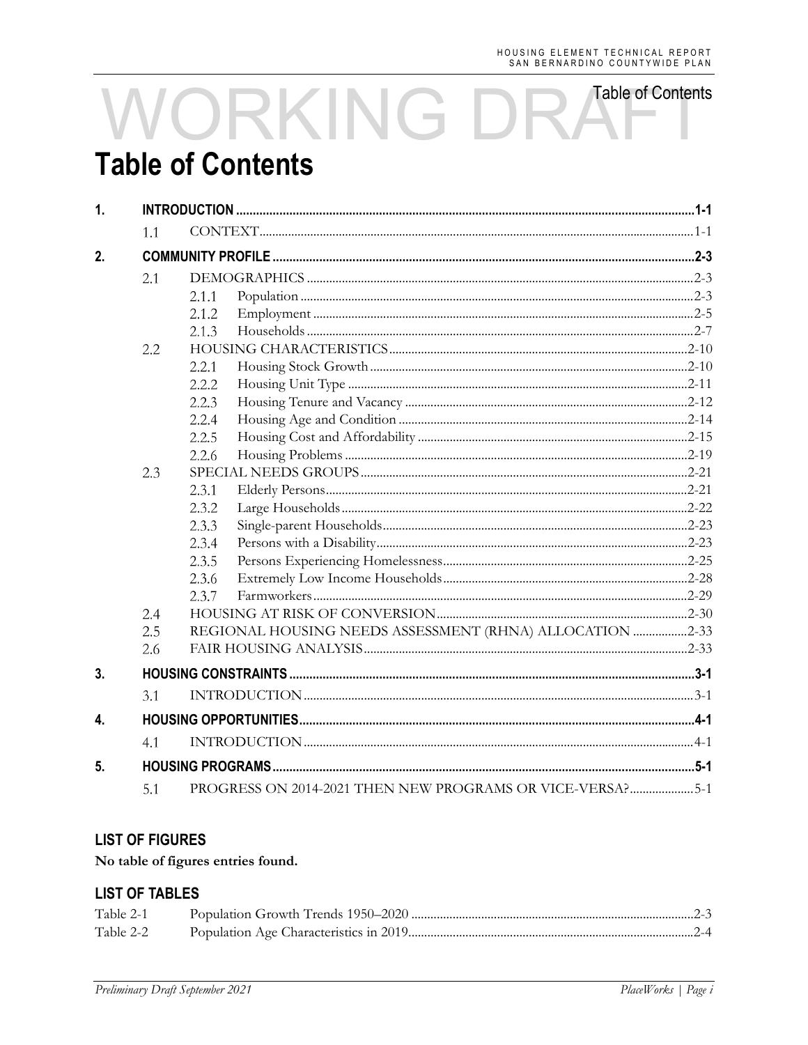# **Table of Contents** WORKING DR **Table of Contents**

| $\mathbf{1}$     |     |                                                           |  |
|------------------|-----|-----------------------------------------------------------|--|
|                  | 1.1 |                                                           |  |
| 2.               |     |                                                           |  |
|                  | 2.1 |                                                           |  |
|                  |     | 2.1.1                                                     |  |
|                  |     | 2.1.2                                                     |  |
|                  |     | 2.1.3                                                     |  |
|                  | 2.2 |                                                           |  |
|                  |     | 2.2.1                                                     |  |
|                  |     | 2.2.2                                                     |  |
|                  |     | 2.2.3                                                     |  |
|                  |     | 2.2.4                                                     |  |
|                  |     | 2.2.5                                                     |  |
|                  |     | 2.2.6                                                     |  |
|                  | 2.3 |                                                           |  |
|                  |     | 2.3.1                                                     |  |
|                  |     | 2.3.2                                                     |  |
|                  |     | 2.3.3                                                     |  |
|                  |     | 2.3.4                                                     |  |
|                  |     | 2.3.5                                                     |  |
|                  |     | 2.3.6                                                     |  |
|                  |     | 2.3.7                                                     |  |
|                  | 2.4 |                                                           |  |
|                  | 2.5 | REGIONAL HOUSING NEEDS ASSESSMENT (RHNA) ALLOCATION 2-33  |  |
|                  | 2.6 |                                                           |  |
| 3.               |     |                                                           |  |
|                  | 3.1 |                                                           |  |
| $\overline{4}$ . |     |                                                           |  |
|                  | 4.1 |                                                           |  |
| 5.               |     |                                                           |  |
|                  | 5.1 | PROGRESS ON 2014-2021 THEN NEW PROGRAMS OR VICE-VERSA?5-1 |  |

### **LIST OF FIGURES**

### No table of figures entries found.

### **LIST OF TABLES**

| Table 2-1 |  |
|-----------|--|
| Table 2-2 |  |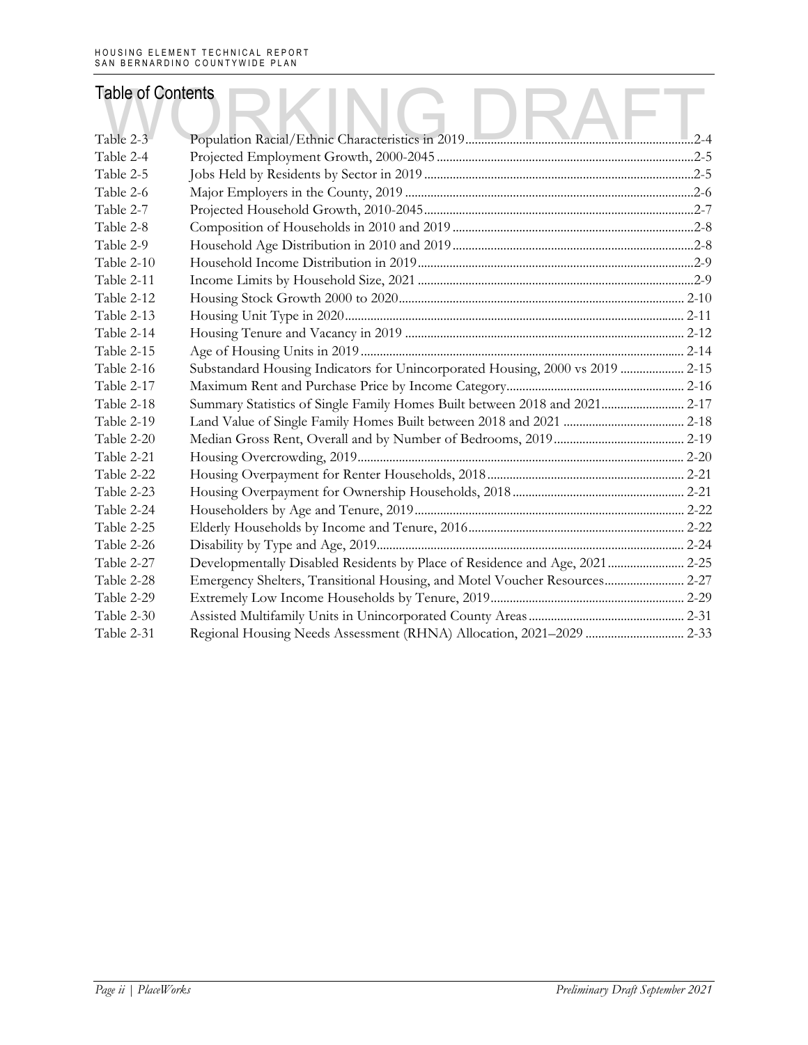| <b>Table of Contents</b> |                                                                               |  |
|--------------------------|-------------------------------------------------------------------------------|--|
|                          |                                                                               |  |
| Table 2-3                |                                                                               |  |
| Table 2-4                |                                                                               |  |
| Table 2-5                |                                                                               |  |
| Table 2-6                |                                                                               |  |
| Table 2-7                |                                                                               |  |
| Table 2-8                |                                                                               |  |
| Table 2-9                |                                                                               |  |
| Table 2-10               |                                                                               |  |
| Table 2-11               |                                                                               |  |
| Table 2-12               |                                                                               |  |
| Table 2-13               |                                                                               |  |
| Table 2-14               |                                                                               |  |
| Table 2-15               |                                                                               |  |
| Table 2-16               | Substandard Housing Indicators for Unincorporated Housing, 2000 vs 2019  2-15 |  |
| Table 2-17               |                                                                               |  |
| Table 2-18               | Summary Statistics of Single Family Homes Built between 2018 and 2021 2-17    |  |
| Table 2-19               |                                                                               |  |
| Table 2-20               |                                                                               |  |
| Table 2-21               |                                                                               |  |
| Table 2-22               |                                                                               |  |
| Table 2-23               |                                                                               |  |
| Table 2-24               |                                                                               |  |
| Table 2-25               |                                                                               |  |
| Table 2-26               |                                                                               |  |
| Table 2-27               | Developmentally Disabled Residents by Place of Residence and Age, 2021 2-25   |  |
| Table 2-28               | Emergency Shelters, Transitional Housing, and Motel Voucher Resources 2-27    |  |
| Table 2-29               |                                                                               |  |
| Table 2-30               |                                                                               |  |
| Table 2-31               |                                                                               |  |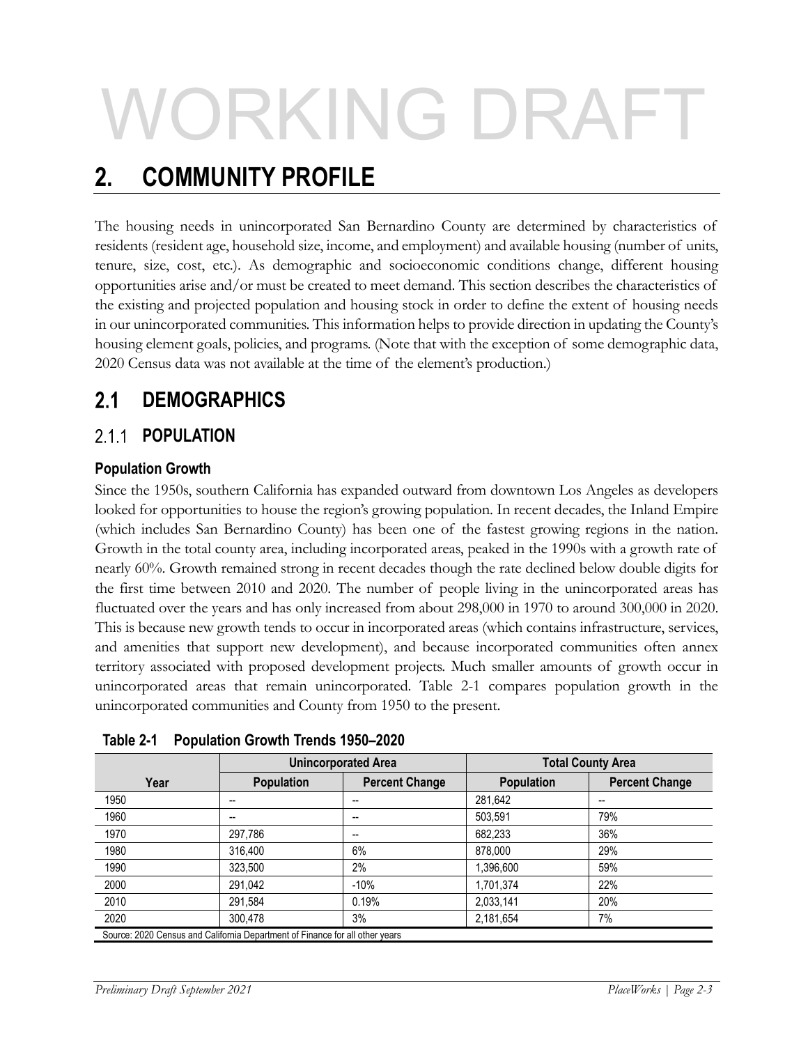# ORKING DRAF

# **2. COMMUNITY PROFILE**

The housing needs in unincorporated San Bernardino County are determined by characteristics of residents (resident age, household size, income, and employment) and available housing (number of units, tenure, size, cost, etc.). As demographic and socioeconomic conditions change, different housing opportunities arise and/or must be created to meet demand. This section describes the characteristics of the existing and projected population and housing stock in order to define the extent of housing needs in our unincorporated communities. This information helps to provide direction in updating the County's housing element goals, policies, and programs. (Note that with the exception of some demographic data, 2020 Census data was not available at the time of the element's production.)

### $2.1$ **DEMOGRAPHICS**

### $2.1.1$ **POPULATION**

### **Population Growth**

Since the 1950s, southern California has expanded outward from downtown Los Angeles as developers looked for opportunities to house the region's growing population. In recent decades, the Inland Empire (which includes San Bernardino County) has been one of the fastest growing regions in the nation. Growth in the total county area, including incorporated areas, peaked in the 1990s with a growth rate of nearly 60%. Growth remained strong in recent decades though the rate declined below double digits for the first time between 2010 and 2020. The number of people living in the unincorporated areas has fluctuated over the years and has only increased from about 298,000 in 1970 to around 300,000 in 2020. This is because new growth tends to occur in incorporated areas (which contains infrastructure, services, and amenities that support new development), and because incorporated communities often annex territory associated with proposed development projects. Much smaller amounts of growth occur in unincorporated areas that remain unincorporated. Table 2-1 compares population growth in the unincorporated communities and County from 1950 to the present.

|      | <b>Unincorporated Area</b>                                                   |                       |                   | <b>Total County Area</b> |
|------|------------------------------------------------------------------------------|-----------------------|-------------------|--------------------------|
| Year | <b>Population</b>                                                            | <b>Percent Change</b> | <b>Population</b> | <b>Percent Change</b>    |
| 1950 | --                                                                           | --                    | 281.642           | --                       |
| 1960 | --                                                                           | --                    | 503.591           | 79%                      |
| 1970 | 297.786                                                                      | --                    | 682,233           | 36%                      |
| 1980 | 316.400                                                                      | 6%                    | 878,000           | 29%                      |
| 1990 | 323.500                                                                      | 2%                    | 1,396,600         | 59%                      |
| 2000 | 291.042                                                                      | $-10%$                | 1.701.374         | 22%                      |
| 2010 | 291.584                                                                      | 0.19%                 | 2,033,141         | 20%                      |
| 2020 | 300.478                                                                      | 3%                    | 2,181,654         | 7%                       |
|      | Source: 2020 Census and California Department of Finance for all other years |                       |                   |                          |

**Table 2-1 Population Growth Trends 1950–2020**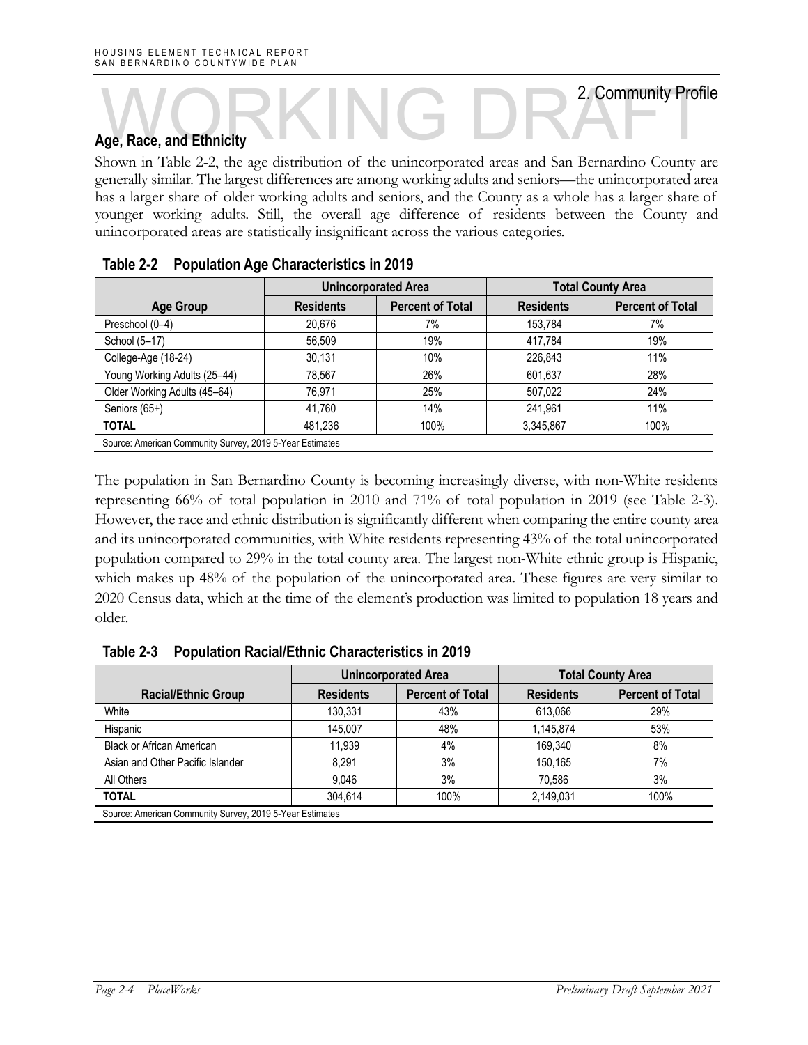# **Age, Race, and Ethnicity**  NG DR<sup>2</sup>Community Profit<br>NG DR<sup>2</sup>Community Profit<br>NG DR<sup>2</sup>Community Profi

Shown in Table 2-2, the age distribution of the unincorporated areas and San Bernardino County are generally similar. The largest differences are among working adults and seniors—the unincorporated area has a larger share of older working adults and seniors, and the County as a whole has a larger share of younger working adults. Still, the overall age difference of residents between the County and unincorporated areas are statistically insignificant across the various categories.

| <b>Unincorporated Area</b> |                         | <b>Total County Area</b> |                         |
|----------------------------|-------------------------|--------------------------|-------------------------|
| <b>Residents</b>           | <b>Percent of Total</b> | <b>Residents</b>         | <b>Percent of Total</b> |
| 20,676                     | 7%                      | 153,784                  | 7%                      |
| 56,509                     | 19%                     | 417.784                  | 19%                     |
| 30,131                     | 10%                     | 226.843                  | 11%                     |
| 78,567                     | 26%                     | 601,637                  | 28%                     |
| 76.971                     | 25%                     | 507,022                  | 24%                     |
| 41,760                     | 14%                     | 241,961                  | 11%                     |
| 481.236                    | 100%                    | 3,345,867                | 100%                    |
|                            |                         |                          |                         |

| Table 2-2 |  | <b>Population Age Characteristics in 2019</b> |
|-----------|--|-----------------------------------------------|
|-----------|--|-----------------------------------------------|

The population in San Bernardino County is becoming increasingly diverse, with non-White residents representing 66% of total population in 2010 and 71% of total population in 2019 (see Table 2-3). However, the race and ethnic distribution is significantly different when comparing the entire county area and its unincorporated communities, with White residents representing 43% of the total unincorporated population compared to 29% in the total county area. The largest non-White ethnic group is Hispanic, which makes up 48% of the population of the unincorporated area. These figures are very similar to 2020 Census data, which at the time of the element's production was limited to population 18 years and older.

|                                                          | <b>Unincorporated Area</b> |                         | <b>Total County Area</b> |                         |
|----------------------------------------------------------|----------------------------|-------------------------|--------------------------|-------------------------|
| <b>Racial/Ethnic Group</b>                               | <b>Residents</b>           | <b>Percent of Total</b> | <b>Residents</b>         | <b>Percent of Total</b> |
| White                                                    | 130.331                    | 43%                     | 613.066                  | 29%                     |
| Hispanic                                                 | 145.007                    | 48%                     | 1,145,874                | 53%                     |
| <b>Black or African American</b>                         | 11.939                     | 4%                      | 169,340                  | 8%                      |
| Asian and Other Pacific Islander                         | 8.291                      | 3%                      | 150.165                  | 7%                      |
| All Others                                               | 9.046                      | 3%                      | 70.586                   | 3%                      |
| <b>TOTAL</b>                                             | 304.614                    | 100%                    | 2,149,031                | 100%                    |
| Source: American Community Survey, 2019 5-Year Estimates |                            |                         |                          |                         |

**Table 2-3 Population Racial/Ethnic Characteristics in 2019**

2. Community Profile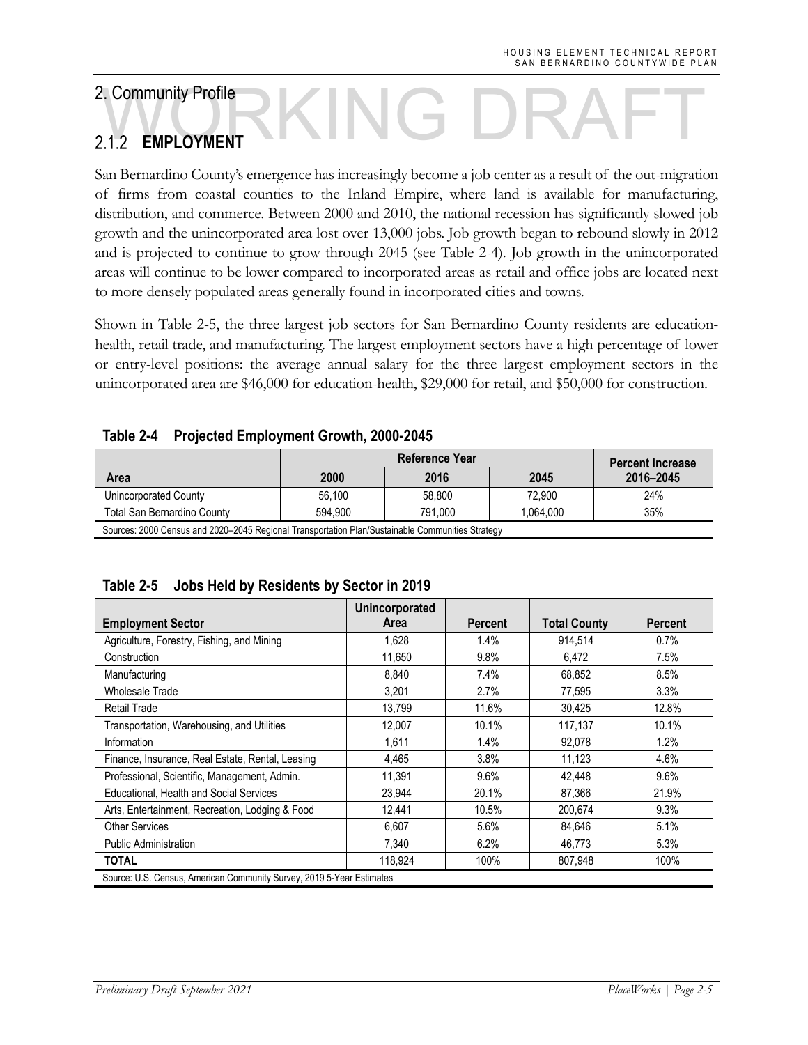# **EMPLOYMENT** A.Community Profile<br>
M.1.2 EMPLOYMENT

San Bernardino County's emergence has increasingly become a job center as a result of the out-migration of firms from coastal counties to the Inland Empire, where land is available for manufacturing, distribution, and commerce. Between 2000 and 2010, the national recession has significantly slowed job growth and the unincorporated area lost over 13,000 jobs. Job growth began to rebound slowly in 2012 and is projected to continue to grow through 2045 (see Table 2-4). Job growth in the unincorporated areas will continue to be lower compared to incorporated areas as retail and office jobs are located next to more densely populated areas generally found in incorporated cities and towns.

Shown in Table 2-5, the three largest job sectors for San Bernardino County residents are educationhealth, retail trade, and manufacturing. The largest employment sectors have a high percentage of lower or entry-level positions: the average annual salary for the three largest employment sectors in the unincorporated area are \$46,000 for education-health, \$29,000 for retail, and \$50,000 for construction.

| <b>Reference Year</b>                                                                            |         |         | <b>Percent Increase</b> |           |
|--------------------------------------------------------------------------------------------------|---------|---------|-------------------------|-----------|
| Area                                                                                             | 2000    | 2016    | 2045                    | 2016-2045 |
| Unincorporated County                                                                            | 56.100  | 58.800  | 72.900                  | 24%       |
| Total San Bernardino County                                                                      | 594.900 | 791.000 | 1.064.000               | 35%       |
| Sources: 2000 Census and 2020–2045 Regional Transportation Plan/Sustainable Communities Strategy |         |         |                         |           |

### **Table 2-4 Projected Employment Growth, 2000-2045**

|                                                                       | <b>Unincorporated</b> |                |                     |                |  |
|-----------------------------------------------------------------------|-----------------------|----------------|---------------------|----------------|--|
| <b>Employment Sector</b>                                              | Area                  | <b>Percent</b> | <b>Total County</b> | <b>Percent</b> |  |
| Agriculture, Forestry, Fishing, and Mining                            | 1,628                 | 1.4%           | 914,514             | 0.7%           |  |
| Construction                                                          | 11,650                | 9.8%           | 6.472               | 7.5%           |  |
| Manufacturing                                                         | 8.840                 | 7.4%           | 68.852              | 8.5%           |  |
| <b>Wholesale Trade</b>                                                | 3,201                 | 2.7%           | 77,595              | $3.3\%$        |  |
| <b>Retail Trade</b>                                                   | 13,799                | 11.6%          | 30.425              | 12.8%          |  |
| Transportation, Warehousing, and Utilities                            | 12,007                | 10.1%          | 117,137             | 10.1%          |  |
| Information                                                           | 1,611                 | 1.4%           | 92,078              | 1.2%           |  |
| Finance, Insurance, Real Estate, Rental, Leasing                      | 4.465                 | 3.8%           | 11.123              | 4.6%           |  |
| Professional, Scientific, Management, Admin.                          | 11,391                | 9.6%           | 42,448              | 9.6%           |  |
| Educational, Health and Social Services                               | 23,944                | 20.1%          | 87,366              | 21.9%          |  |
| Arts, Entertainment, Recreation, Lodging & Food                       | 12,441                | 10.5%          | 200,674             | 9.3%           |  |
| <b>Other Services</b>                                                 | 6,607                 | 5.6%           | 84,646              | $5.1\%$        |  |
| <b>Public Administration</b>                                          | 7,340                 | 6.2%           | 46,773              | 5.3%           |  |
| TOTAL                                                                 | 118,924               | 100%           | 807,948             | 100%           |  |
| Source: U.S. Census, American Community Survey, 2019 5-Year Estimates |                       |                |                     |                |  |

|  | Table 2-5 Jobs Held by Residents by Sector in 2019 |  |
|--|----------------------------------------------------|--|
|--|----------------------------------------------------|--|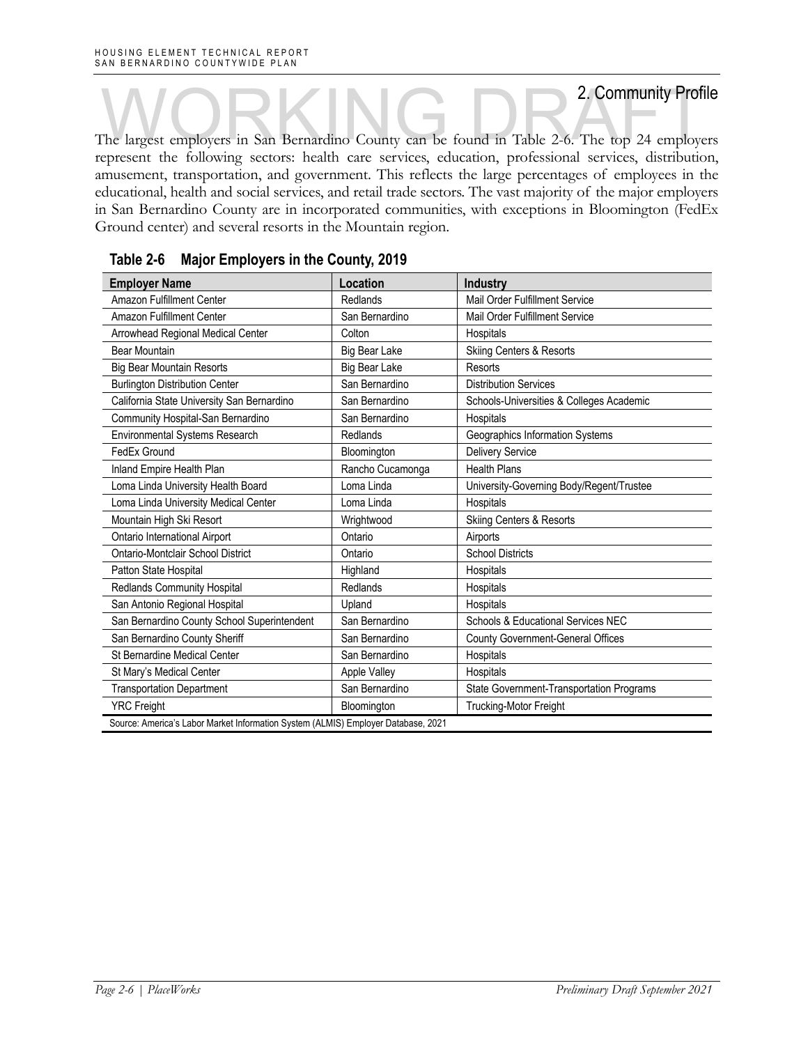The largest employers in San Bernardino County can be found in Table 2-6. The top 24 employers presented to following perfective and the form of the top 24 employers represent the following sectors: health care services, education, professional services, distribution, amusement, transportation, and government. This reflects the large percentages of employees in the educational, health and social services, and retail trade sectors. The vast majority of the major employers in San Bernardino County are in incorporated communities, with exceptions in Bloomington (FedEx Ground center) and several resorts in the Mountain region.

| <b>Employer Name</b>                                                              | Location             | <b>Industry</b>                          |
|-----------------------------------------------------------------------------------|----------------------|------------------------------------------|
| Amazon Fulfillment Center                                                         | Redlands             | Mail Order Fulfillment Service           |
| Amazon Fulfillment Center                                                         | San Bernardino       | Mail Order Fulfillment Service           |
| Arrowhead Regional Medical Center                                                 | Colton               | Hospitals                                |
| <b>Bear Mountain</b>                                                              | Big Bear Lake        | <b>Skiing Centers &amp; Resorts</b>      |
| <b>Big Bear Mountain Resorts</b>                                                  | <b>Big Bear Lake</b> | Resorts                                  |
| <b>Burlington Distribution Center</b>                                             | San Bernardino       | <b>Distribution Services</b>             |
| California State University San Bernardino                                        | San Bernardino       | Schools-Universities & Colleges Academic |
| Community Hospital-San Bernardino                                                 | San Bernardino       | Hospitals                                |
| Environmental Systems Research                                                    | Redlands             | Geographics Information Systems          |
| FedEx Ground                                                                      | Bloomington          | <b>Delivery Service</b>                  |
| Inland Empire Health Plan                                                         | Rancho Cucamonga     | <b>Health Plans</b>                      |
| Loma Linda University Health Board                                                | Loma Linda           | University-Governing Body/Regent/Trustee |
| Loma Linda University Medical Center                                              | Loma Linda           | Hospitals                                |
| Mountain High Ski Resort                                                          | Wrightwood           | <b>Skiing Centers &amp; Resorts</b>      |
| Ontario International Airport                                                     | Ontario              | Airports                                 |
| Ontario-Montclair School District                                                 | Ontario              | <b>School Districts</b>                  |
| Patton State Hospital                                                             | Highland             | Hospitals                                |
| Redlands Community Hospital                                                       | Redlands             | Hospitals                                |
| San Antonio Regional Hospital                                                     | Upland               | Hospitals                                |
| San Bernardino County School Superintendent                                       | San Bernardino       | Schools & Educational Services NEC       |
| San Bernardino County Sheriff                                                     | San Bernardino       | County Government-General Offices        |
| St Bernardine Medical Center                                                      | San Bernardino       | Hospitals                                |
| St Mary's Medical Center                                                          | Apple Valley         | Hospitals                                |
| <b>Transportation Department</b>                                                  | San Bernardino       | State Government-Transportation Programs |
| <b>YRC Freight</b>                                                                | Bloomington          | Trucking-Motor Freight                   |
| Source: America's Labor Market Information System (ALMIS) Employer Database, 2021 |                      |                                          |

|  |  |  | Table 2-6 Major Employers in the County, 2019 |  |
|--|--|--|-----------------------------------------------|--|
|--|--|--|-----------------------------------------------|--|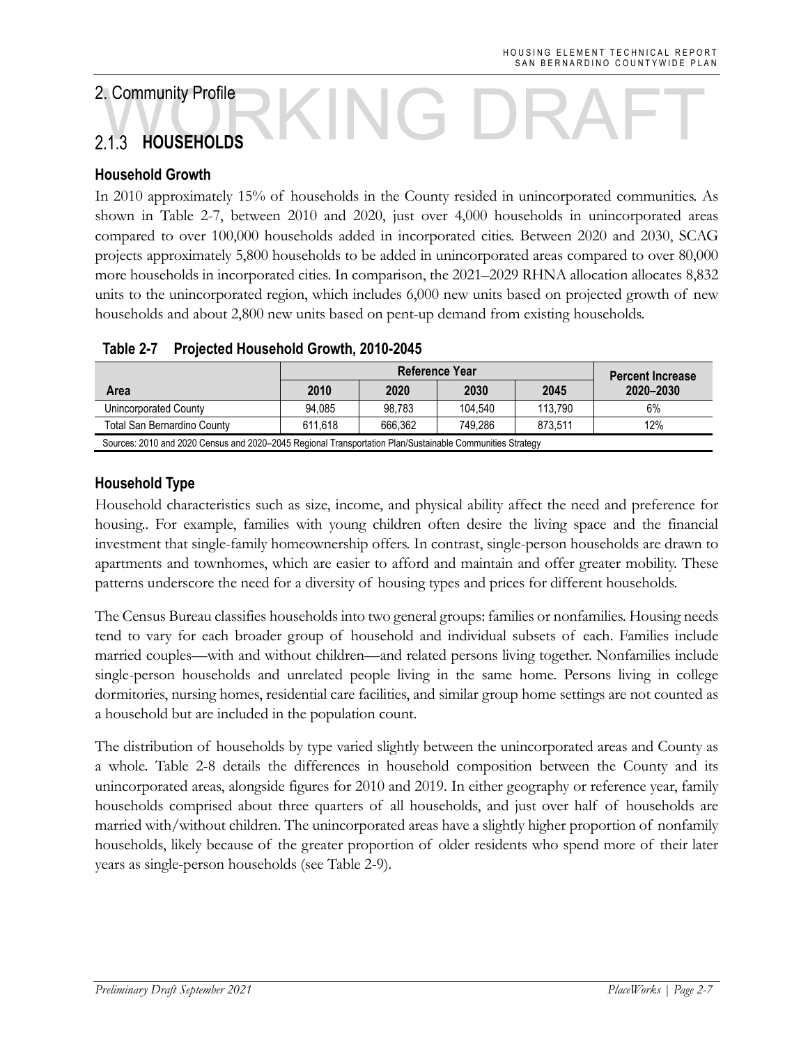# **HOUSEHOLDS**  A.Community Profile<br>
M.C. DRAFT

### **Household Growth**

In 2010 approximately 15% of households in the County resided in unincorporated communities. As shown in Table 2-7, between 2010 and 2020, just over 4,000 households in unincorporated areas compared to over 100,000 households added in incorporated cities. Between 2020 and 2030, SCAG projects approximately 5,800 households to be added in unincorporated areas compared to over 80,000 more households in incorporated cities. In comparison, the 2021–2029 RHNA allocation allocates 8,832 units to the unincorporated region, which includes 6,000 new units based on projected growth of new households and about 2,800 new units based on pent-up demand from existing households.

|                                                                                                           |         | Reference Year |         |         |           |  |  |
|-----------------------------------------------------------------------------------------------------------|---------|----------------|---------|---------|-----------|--|--|
| Area                                                                                                      | 2010    | 2020           | 2030    | 2045    | 2020-2030 |  |  |
| Unincorporated County                                                                                     | 94.085  | 98.783         | 104.540 | 113.790 | 6%        |  |  |
| <b>Total San Bernardino County</b>                                                                        | 611.618 | 666.362        | 749.286 | 873.511 | 12%       |  |  |
| Sources: 2010 and 2020 Census and 2020–2045 Regional Transportation Plan/Sustainable Communities Strategy |         |                |         |         |           |  |  |

### **Table 2-7 Projected Household Growth, 2010-2045**

### **Household Type**

Household characteristics such as size, income, and physical ability affect the need and preference for housing.. For example, families with young children often desire the living space and the financial investment that single-family homeownership offers. In contrast, single-person households are drawn to apartments and townhomes, which are easier to afford and maintain and offer greater mobility. These patterns underscore the need for a diversity of housing types and prices for different households.

The Census Bureau classifies households into two general groups: families or nonfamilies. Housing needs tend to vary for each broader group of household and individual subsets of each. Families include married couples—with and without children—and related persons living together. Nonfamilies include single-person households and unrelated people living in the same home. Persons living in college dormitories, nursing homes, residential care facilities, and similar group home settings are not counted as a household but are included in the population count.

The distribution of households by type varied slightly between the unincorporated areas and County as a whole. Table 2-8 details the differences in household composition between the County and its unincorporated areas, alongside figures for 2010 and 2019. In either geography or reference year, family households comprised about three quarters of all households, and just over half of households are married with/without children. The unincorporated areas have a slightly higher proportion of nonfamily households, likely because of the greater proportion of older residents who spend more of their later years as single-person households (see Table 2-9).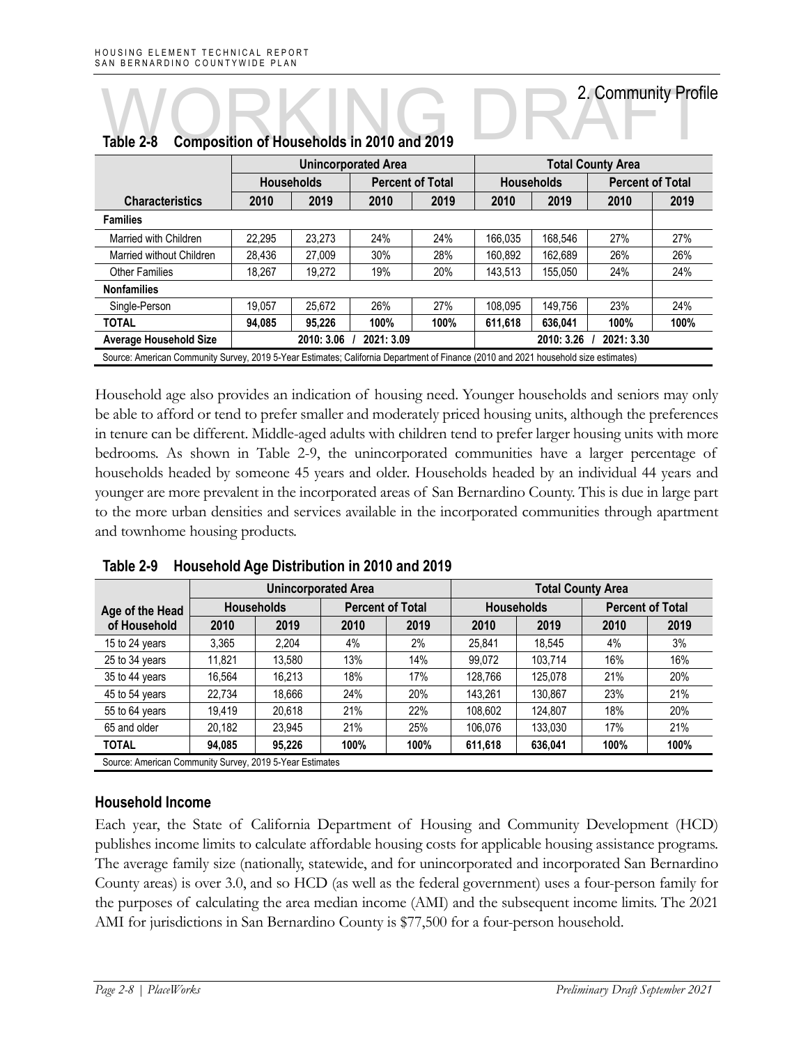|                                                                                                                                     |        | <b>Unincorporated Area</b> |            |                         |                          | <b>Total County Area</b> |      |                         |  |
|-------------------------------------------------------------------------------------------------------------------------------------|--------|----------------------------|------------|-------------------------|--------------------------|--------------------------|------|-------------------------|--|
|                                                                                                                                     |        | <b>Households</b>          |            | <b>Percent of Total</b> |                          | <b>Households</b>        |      | <b>Percent of Total</b> |  |
| <b>Characteristics</b>                                                                                                              | 2010   | 2019                       | 2010       | 2019                    | 2010                     | 2019                     | 2010 | 2019                    |  |
| <b>Families</b>                                                                                                                     |        |                            |            |                         |                          |                          |      |                         |  |
| Married with Children                                                                                                               | 22.295 | 23.273                     | 24%        | 24%                     | 166.035                  | 168.546                  | 27%  | 27%                     |  |
| Married without Children                                                                                                            | 28.436 | 27.009                     | 30%        | 28%                     | 160.892                  | 162,689                  | 26%  | 26%                     |  |
| <b>Other Families</b>                                                                                                               | 18.267 | 19.272                     | 19%        | 20%                     | 143,513                  | 155.050                  | 24%  | 24%                     |  |
| <b>Nonfamilies</b>                                                                                                                  |        |                            |            |                         |                          |                          |      |                         |  |
| Single-Person                                                                                                                       | 19.057 | 25.672                     | 26%        | 27%                     | 108.095                  | 149.756                  | 23%  | 24%                     |  |
| <b>TOTAL</b>                                                                                                                        | 94.085 | 95.226                     | 100%       | 100%                    | 611.618                  | 636.041                  | 100% | 100%                    |  |
| <b>Average Household Size</b>                                                                                                       |        | 2010: 3.06                 | 2021: 3.09 |                         | 2021: 3.30<br>2010: 3.26 |                          |      |                         |  |
| Source: American Community Survey, 2019 5-Year Estimates; California Department of Finance (2010 and 2021 household size estimates) |        |                            |            |                         |                          |                          |      |                         |  |

# **Table 2-8 Composition of Households in 2010 and 2019**  Table 2-8 Composition of Households in 2010 and 2019

Household age also provides an indication of housing need. Younger households and seniors may only be able to afford or tend to prefer smaller and moderately priced housing units, although the preferences in tenure can be different. Middle-aged adults with children tend to prefer larger housing units with more bedrooms. As shown in Table 2-9, the unincorporated communities have a larger percentage of households headed by someone 45 years and older. Households headed by an individual 44 years and younger are more prevalent in the incorporated areas of San Bernardino County. This is due in large part to the more urban densities and services available in the incorporated communities through apartment and townhome housing products.

|                                                          |                   |        | <b>Unincorporated Area</b> |      |         | <b>Total County Area</b> |      |                         |  |  |
|----------------------------------------------------------|-------------------|--------|----------------------------|------|---------|--------------------------|------|-------------------------|--|--|
| Age of the Head                                          | <b>Households</b> |        | <b>Percent of Total</b>    |      |         | <b>Households</b>        |      | <b>Percent of Total</b> |  |  |
| of Household                                             | 2010              | 2019   | 2010                       | 2019 | 2010    | 2019                     | 2010 | 2019                    |  |  |
| 15 to 24 years                                           | 3,365             | 2.204  | 4%                         | 2%   | 25,841  | 18,545                   | 4%   | 3%                      |  |  |
| 25 to 34 years                                           | 11.821            | 13.580 | 13%                        | 14%  | 99.072  | 103.714                  | 16%  | 16%                     |  |  |
| 35 to 44 years                                           | 16.564            | 16.213 | 18%                        | 17%  | 128.766 | 125.078                  | 21%  | 20%                     |  |  |
| 45 to 54 years                                           | 22.734            | 18.666 | 24%                        | 20%  | 143,261 | 130.867                  | 23%  | 21%                     |  |  |
| 55 to 64 years                                           | 19.419            | 20.618 | 21%                        | 22%  | 108.602 | 124.807                  | 18%  | 20%                     |  |  |
| 65 and older                                             | 20.182            | 23.945 | 21%                        | 25%  | 106.076 | 133.030                  | 17%  | 21%                     |  |  |
| <b>TOTAL</b>                                             | 94,085            | 95,226 | 100%                       | 100% | 611,618 | 636,041                  | 100% | 100%                    |  |  |
| Source: American Community Survey, 2019 5-Year Estimates |                   |        |                            |      |         |                          |      |                         |  |  |

**Table 2-9 Household Age Distribution in 2010 and 2019** 

### **Household Income**

Each year, the State of California Department of Housing and Community Development (HCD) publishes income limits to calculate affordable housing costs for applicable housing assistance programs. The average family size (nationally, statewide, and for unincorporated and incorporated San Bernardino County areas) is over 3.0, and so HCD (as well as the federal government) uses a four-person family for the purposes of calculating the area median income (AMI) and the subsequent income limits. The 2021 AMI for jurisdictions in San Bernardino County is \$77,500 for a four-person household.

2. Community Profile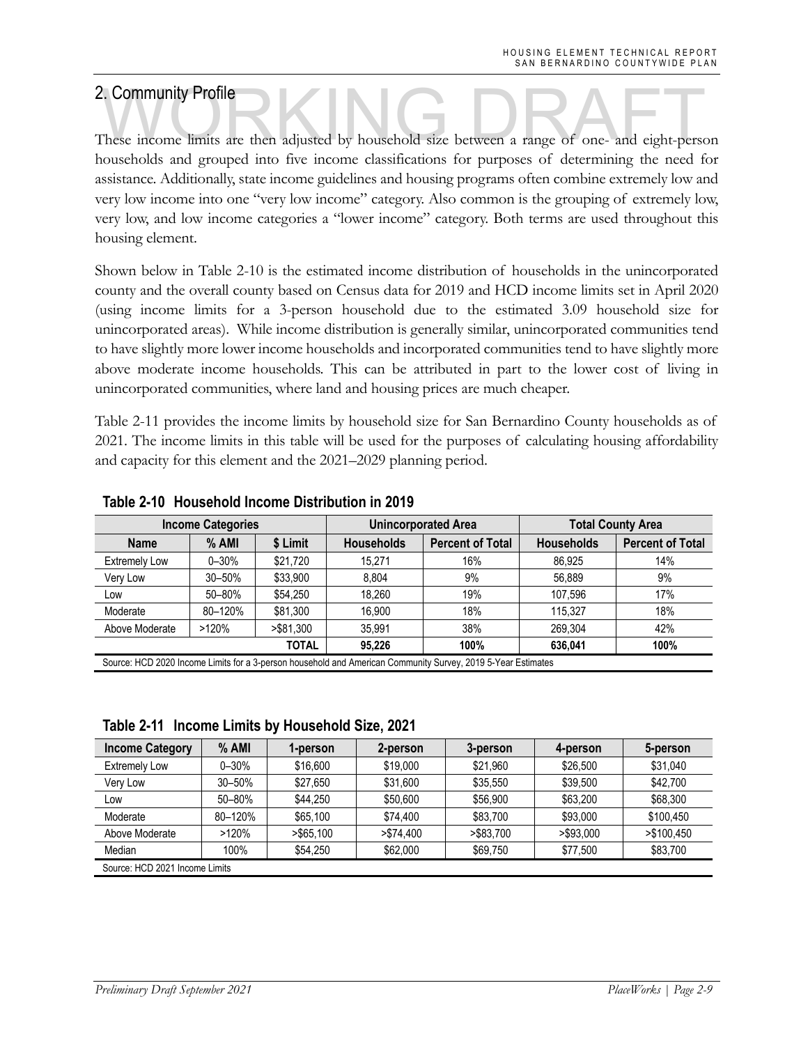2. Community Profile<br>These income limits are then adjusted by household size between a range of one- and eight-person households and grouped into five income classifications for purposes of determining the need for assistance. Additionally, state income guidelines and housing programs often combine extremely low and very low income into one "very low income" category. Also common is the grouping of extremely low, very low, and low income categories a "lower income" category. Both terms are used throughout this housing element.

Shown below in Table 2-10 is the estimated income distribution of households in the unincorporated county and the overall county based on Census data for 2019 and HCD income limits set in April 2020 (using income limits for a 3-person household due to the estimated 3.09 household size for unincorporated areas). While income distribution is generally similar, unincorporated communities tend to have slightly more lower income households and incorporated communities tend to have slightly more above moderate income households. This can be attributed in part to the lower cost of living in unincorporated communities, where land and housing prices are much cheaper.

Table 2-11 provides the income limits by household size for San Bernardino County households as of 2021. The income limits in this table will be used for the purposes of calculating housing affordability and capacity for this element and the 2021–2029 planning period.

| <b>Income Categories</b> |           |              |                   | <b>Unincorporated Area</b> | <b>Total County Area</b> |                         |  |
|--------------------------|-----------|--------------|-------------------|----------------------------|--------------------------|-------------------------|--|
| <b>Name</b>              | $%$ AMI   | \$ Limit     | <b>Households</b> | <b>Percent of Total</b>    | <b>Households</b>        | <b>Percent of Total</b> |  |
| <b>Extremely Low</b>     | $0 - 30%$ | \$21,720     | 15.271            | 16%                        | 86.925                   | 14%                     |  |
| Very Low                 | 30-50%    | \$33.900     | 8.804             | 9%                         | 56.889                   | 9%                      |  |
| Low                      | 50-80%    | \$54,250     | 18.260            | 19%                        | 107.596                  | 17%                     |  |
| Moderate                 | 80-120%   | \$81,300     | 16.900            | 18%                        | 115.327                  | 18%                     |  |
| Above Moderate           | >120%     | > \$81.300   | 35.991            | 38%                        | 269.304                  | 42%                     |  |
|                          |           | <b>TOTAL</b> | 95.226            | 100%                       | 636.041                  | 100%                    |  |

### **Table 2-10 Household Income Distribution in 2019**

Source: HCD 2020 Income Limits for a 3-person household and American Community Survey, 2019 5-Year Estimates

**Table 2-11 Income Limits by Household Size, 2021** 

| <b>Income Category</b> | $%$ AMI                        | 1-person     | 2-person   | 3-person  | 4-person  | 5-person   |  |  |  |  |
|------------------------|--------------------------------|--------------|------------|-----------|-----------|------------|--|--|--|--|
| <b>Extremely Low</b>   | $0 - 30%$                      | \$16,600     | \$19,000   | \$21.960  | \$26.500  | \$31,040   |  |  |  |  |
| Very Low               | $30 - 50%$                     | \$27.650     | \$31.600   | \$35,550  | \$39.500  | \$42.700   |  |  |  |  |
| Low                    | $50 - 80%$                     | \$44.250     | \$50,600   | \$56,900  | \$63.200  | \$68,300   |  |  |  |  |
| Moderate               | 80-120%                        | \$65.100     | \$74.400   | \$83.700  | \$93,000  | \$100,450  |  |  |  |  |
| Above Moderate         | >120%                          | $>$ \$65.100 | > \$74,400 | >\$83.700 | >\$93,000 | >\$100.450 |  |  |  |  |
| Median                 | 100%                           | \$54,250     | \$62,000   | \$69.750  | \$77,500  | \$83,700   |  |  |  |  |
|                        | Source: HCD 2021 Income Limits |              |            |           |           |            |  |  |  |  |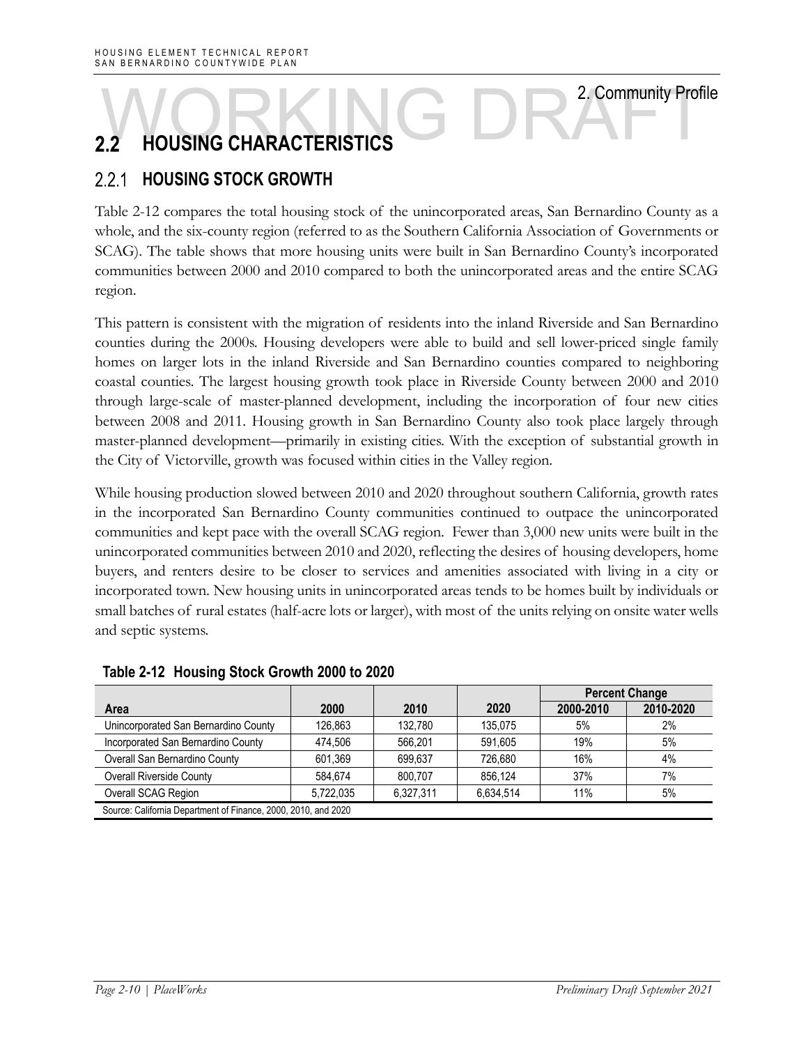# 2. Community Profile **HOUSING CHARACTERISTICS EXAMPLE DRAFTICS** 2. Community Profit<br>2.2 HOUSING CHARACTERISTICS

### $2.2.1$ **HOUSING STOCK GROWTH**

Table 2-12 compares the total housing stock of the unincorporated areas, San Bernardino County as a whole, and the six-county region (referred to as the Southern California Association of Governments or SCAG). The table shows that more housing units were built in San Bernardino County's incorporated communities between 2000 and 2010 compared to both the unincorporated areas and the entire SCAG region.

This pattern is consistent with the migration of residents into the inland Riverside and San Bernardino counties during the 2000s. Housing developers were able to build and sell lower-priced single family homes on larger lots in the inland Riverside and San Bernardino counties compared to neighboring coastal counties. The largest housing growth took place in Riverside County between 2000 and 2010 through large-scale of master-planned development, including the incorporation of four new cities between 2008 and 2011. Housing growth in San Bernardino County also took place largely through master-planned development—primarily in existing cities. With the exception of substantial growth in the City of Victorville, growth was focused within cities in the Valley region.

While housing production slowed between 2010 and 2020 throughout southern California, growth rates in the incorporated San Bernardino County communities continued to outpace the unincorporated communities and kept pace with the overall SCAG region. Fewer than 3,000 new units were built in the unincorporated communities between 2010 and 2020, reflecting the desires of housing developers, home buyers, and renters desire to be closer to services and amenities associated with living in a city or incorporated town. New housing units in unincorporated areas tends to be homes built by individuals or small batches of rural estates (half-acre lots or larger), with most of the units relying on onsite water wells and septic systems.

|                                      |                                                                |           |           | <b>Percent Change</b> |           |  |  |  |  |
|--------------------------------------|----------------------------------------------------------------|-----------|-----------|-----------------------|-----------|--|--|--|--|
| Area                                 | 2000                                                           | 2010      | 2020      | 2000-2010             | 2010-2020 |  |  |  |  |
| Unincorporated San Bernardino County | 126.863                                                        | 132.780   | 135.075   | 5%                    | 2%        |  |  |  |  |
| Incorporated San Bernardino County   | 474.506                                                        | 566.201   | 591.605   | 19%                   | 5%        |  |  |  |  |
| Overall San Bernardino County        | 601.369                                                        | 699.637   | 726.680   | 16%                   | 4%        |  |  |  |  |
| <b>Overall Riverside County</b>      | 584.674                                                        | 800.707   | 856.124   | 37%                   | 7%        |  |  |  |  |
| Overall SCAG Region                  | 5,722,035                                                      | 6.327.311 | 6,634,514 | 11%                   | 5%        |  |  |  |  |
|                                      | Source: California Department of Finance, 2000, 2010, and 2020 |           |           |                       |           |  |  |  |  |

### **Table 2-12 Housing Stock Growth 2000 to 2020**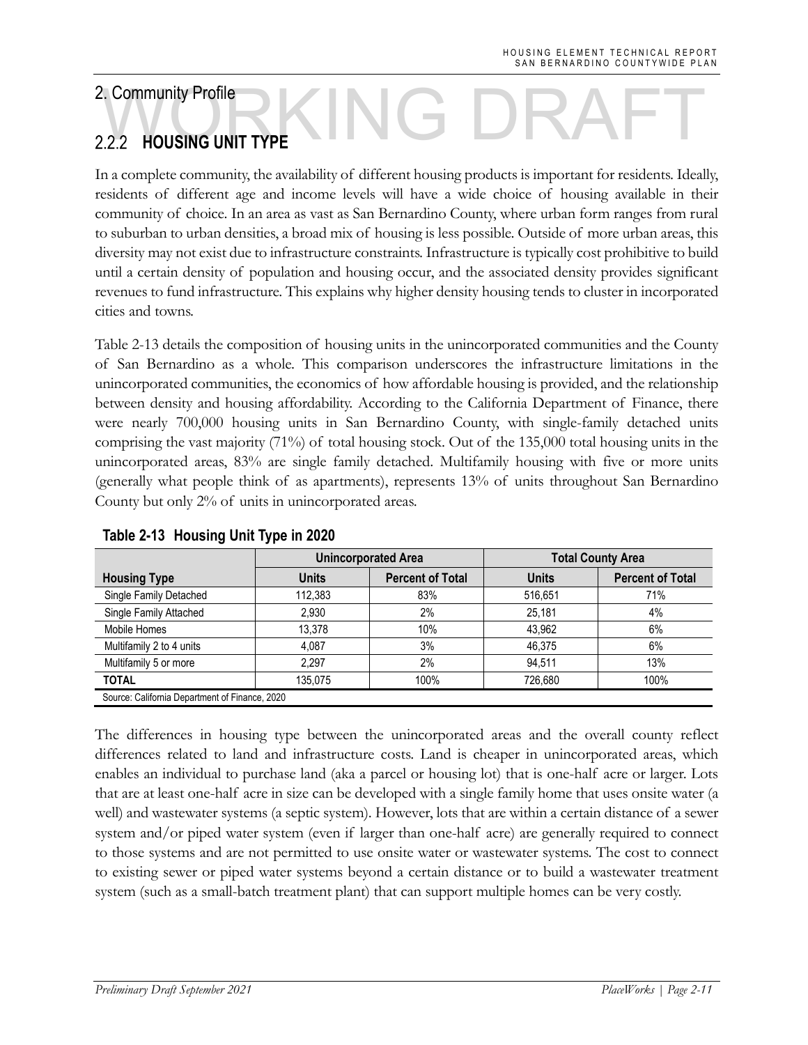# **HOUSING UNIT TYPE**  2.2 HOUSING UNIT TYPE

In a complete community, the availability of different housing products is important for residents. Ideally, residents of different age and income levels will have a wide choice of housing available in their community of choice. In an area as vast as San Bernardino County, where urban form ranges from rural to suburban to urban densities, a broad mix of housing is less possible. Outside of more urban areas, this diversity may not exist due to infrastructure constraints. Infrastructure is typically cost prohibitive to build until a certain density of population and housing occur, and the associated density provides significant revenues to fund infrastructure. This explains why higher density housing tends to cluster in incorporated cities and towns.

Table 2-13 details the composition of housing units in the unincorporated communities and the County of San Bernardino as a whole. This comparison underscores the infrastructure limitations in the unincorporated communities, the economics of how affordable housing is provided, and the relationship between density and housing affordability. According to the California Department of Finance, there were nearly 700,000 housing units in San Bernardino County, with single-family detached units comprising the vast majority (71%) of total housing stock. Out of the 135,000 total housing units in the unincorporated areas, 83% are single family detached. Multifamily housing with five or more units (generally what people think of as apartments), represents 13% of units throughout San Bernardino County but only 2% of units in unincorporated areas.

|                                                |              | <b>Unincorporated Area</b> | <b>Total County Area</b> |                         |  |  |
|------------------------------------------------|--------------|----------------------------|--------------------------|-------------------------|--|--|
| <b>Housing Type</b>                            | <b>Units</b> | <b>Percent of Total</b>    | <b>Units</b>             | <b>Percent of Total</b> |  |  |
| Single Family Detached                         | 112.383      | 83%                        | 516,651                  | 71%                     |  |  |
| Single Family Attached                         | 2.930        | 2%                         | 25,181                   | 4%                      |  |  |
| Mobile Homes                                   | 13.378       | 10%                        | 43.962                   | 6%                      |  |  |
| Multifamily 2 to 4 units                       | 4.087        | 3%                         | 46.375                   | 6%                      |  |  |
| Multifamily 5 or more                          | 2.297        | 2%                         | 94,511                   | 13%                     |  |  |
| <b>TOTAL</b>                                   | 135.075      | 100%                       | 726.680                  | 100%                    |  |  |
| Source: California Department of Finance, 2020 |              |                            |                          |                         |  |  |

### **Table 2-13 Housing Unit Type in 2020**

The differences in housing type between the unincorporated areas and the overall county reflect differences related to land and infrastructure costs. Land is cheaper in unincorporated areas, which enables an individual to purchase land (aka a parcel or housing lot) that is one-half acre or larger. Lots that are at least one-half acre in size can be developed with a single family home that uses onsite water (a well) and wastewater systems (a septic system). However, lots that are within a certain distance of a sewer system and/or piped water system (even if larger than one-half acre) are generally required to connect to those systems and are not permitted to use onsite water or wastewater systems. The cost to connect to existing sewer or piped water systems beyond a certain distance or to build a wastewater treatment system (such as a small-batch treatment plant) that can support multiple homes can be very costly.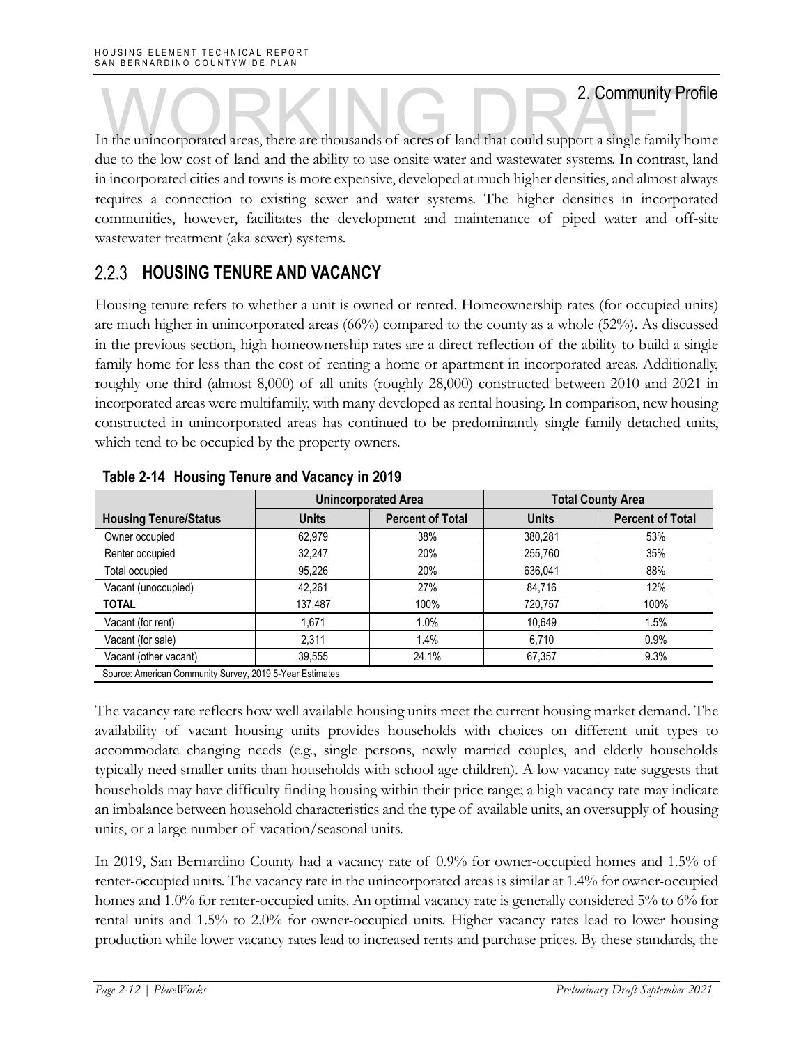In the unincorporated areas, there are thousands of acres of land that could support a single family home due to the low cost of land and the ability to use onsite water and wastewater systems. In contrast, land in incorporated cities and towns is more expensive, developed at much higher densities, and almost always requires a connection to existing sewer and water systems. The higher densities in incorporated communities, however, facilitates the development and maintenance of piped water and off-site wastewater treatment (aka sewer) systems.

### **HOUSING TENURE AND VACANCY**

Housing tenure refers to whether a unit is owned or rented. Homeownership rates (for occupied units) are much higher in unincorporated areas (66%) compared to the county as a whole (52%). As discussed in the previous section, high homeownership rates are a direct reflection of the ability to build a single family home for less than the cost of renting a home or apartment in incorporated areas. Additionally, roughly one-third (almost 8,000) of all units (roughly 28,000) constructed between 2010 and 2021 in incorporated areas were multifamily, with many developed as rental housing. In comparison, new housing constructed in unincorporated areas has continued to be predominantly single family detached units, which tend to be occupied by the property owners.

|                                                          |              | <b>Unincorporated Area</b> | <b>Total County Area</b> |                         |  |  |
|----------------------------------------------------------|--------------|----------------------------|--------------------------|-------------------------|--|--|
| <b>Housing Tenure/Status</b>                             | <b>Units</b> | <b>Percent of Total</b>    | <b>Units</b>             | <b>Percent of Total</b> |  |  |
| Owner occupied                                           | 62.979       | 38%                        | 380,281                  | 53%                     |  |  |
| Renter occupied                                          | 32.247       | 20%                        | 255,760                  | 35%                     |  |  |
| Total occupied                                           | 95.226       | 20%                        | 636,041                  | 88%                     |  |  |
| Vacant (unoccupied)                                      | 42.261       | 27%                        | 84.716                   | 12%                     |  |  |
| <b>TOTAL</b>                                             | 137,487      | 100%                       | 720,757                  | 100%                    |  |  |
| Vacant (for rent)                                        | 1.671        | 1.0%                       | 10,649                   | 1.5%                    |  |  |
| Vacant (for sale)                                        | 2.311        | 1.4%                       | 6,710                    | 0.9%                    |  |  |
| Vacant (other vacant)                                    | 39,555       | 24.1%                      | 67,357                   | 9.3%                    |  |  |
| Source: American Community Survey, 2019 5-Year Estimates |              |                            |                          |                         |  |  |

**Table 2-14 Housing Tenure and Vacancy in 2019**

The vacancy rate reflects how well available housing units meet the current housing market demand. The availability of vacant housing units provides households with choices on different unit types to accommodate changing needs (e.g., single persons, newly married couples, and elderly households typically need smaller units than households with school age children). A low vacancy rate suggests that households may have difficulty finding housing within their price range; a high vacancy rate may indicate an imbalance between household characteristics and the type of available units, an oversupply of housing units, or a large number of vacation/seasonal units.

In 2019, San Bernardino County had a vacancy rate of 0.9% for owner-occupied homes and 1.5% of renter-occupied units. The vacancy rate in the unincorporated areas is similar at 1.4% for owner-occupied homes and 1.0% for renter-occupied units. An optimal vacancy rate is generally considered 5% to 6% for rental units and 1.5% to 2.0% for owner-occupied units. Higher vacancy rates lead to lower housing production while lower vacancy rates lead to increased rents and purchase prices. By these standards, the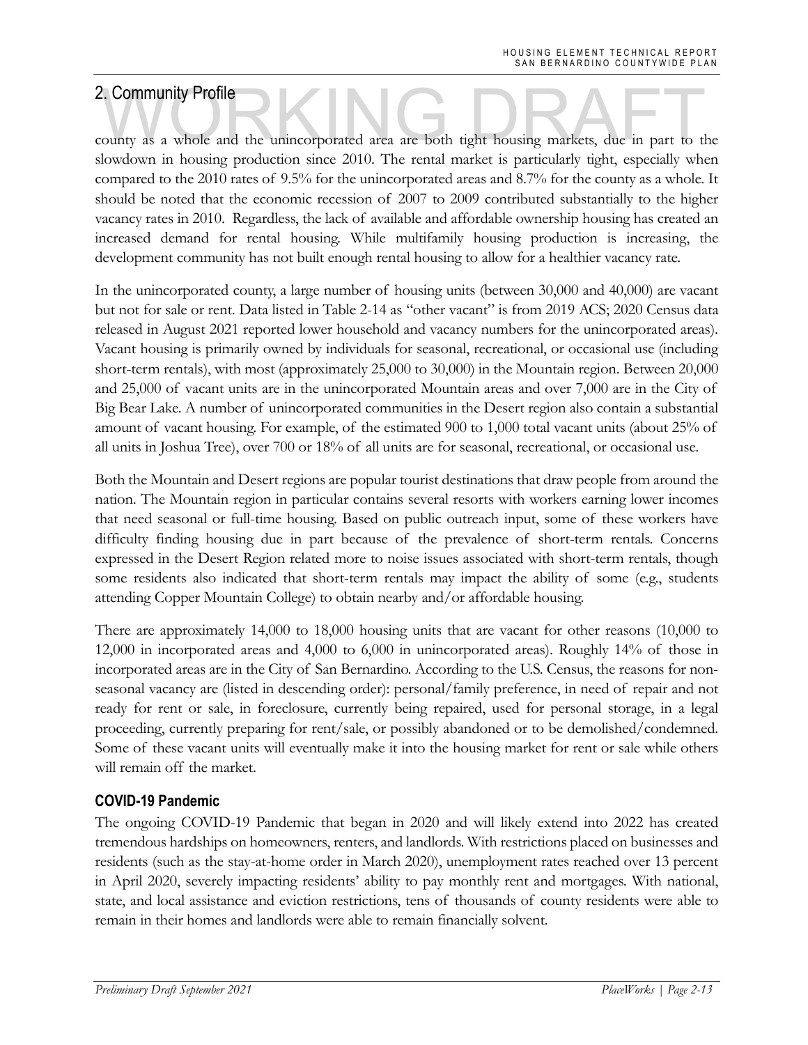2. Community Profile<br>county as a whole and the unincorporated area are both tight housing markets, due in part to the slowdown in housing production since 2010. The rental market is particularly tight, especially when compared to the 2010 rates of 9.5% for the unincorporated areas and 8.7% for the county as a whole. It should be noted that the economic recession of 2007 to 2009 contributed substantially to the higher vacancy rates in 2010. Regardless, the lack of available and affordable ownership housing has created an increased demand for rental housing. While multifamily housing production is increasing, the development community has not built enough rental housing to allow for a healthier vacancy rate.

In the unincorporated county, a large number of housing units (between 30,000 and 40,000) are vacant but not for sale or rent. Data listed in Table 2-14 as "other vacant" is from 2019 ACS; 2020 Census data released in August 2021 reported lower household and vacancy numbers for the unincorporated areas). Vacant housing is primarily owned by individuals for seasonal, recreational, or occasional use (including short-term rentals), with most (approximately 25,000 to 30,000) in the Mountain region. Between 20,000 and 25,000 of vacant units are in the unincorporated Mountain areas and over 7,000 are in the City of Big Bear Lake. A number of unincorporated communities in the Desert region also contain a substantial amount of vacant housing. For example, of the estimated 900 to 1,000 total vacant units (about 25% of all units in Joshua Tree), over 700 or 18% of all units are for seasonal, recreational, or occasional use.

Both the Mountain and Desert regions are popular tourist destinations that draw people from around the nation. The Mountain region in particular contains several resorts with workers earning lower incomes that need seasonal or full-time housing. Based on public outreach input, some of these workers have difficulty finding housing due in part because of the prevalence of short-term rentals. Concerns expressed in the Desert Region related more to noise issues associated with short-term rentals, though some residents also indicated that short-term rentals may impact the ability of some (e.g., students attending Copper Mountain College) to obtain nearby and/or affordable housing.

There are approximately 14,000 to 18,000 housing units that are vacant for other reasons (10,000 to 12,000 in incorporated areas and 4,000 to 6,000 in unincorporated areas). Roughly 14% of those in incorporated areas are in the City of San Bernardino. According to the U.S. Census, the reasons for nonseasonal vacancy are (listed in descending order): personal/family preference, in need of repair and not ready for rent or sale, in foreclosure, currently being repaired, used for personal storage, in a legal proceeding, currently preparing for rent/sale, or possibly abandoned or to be demolished/condemned. Some of these vacant units will eventually make it into the housing market for rent or sale while others will remain off the market.

### **COVID-19 Pandemic**

The ongoing COVID-19 Pandemic that began in 2020 and will likely extend into 2022 has created tremendous hardships on homeowners, renters, and landlords. With restrictions placed on businesses and residents (such as the stay-at-home order in March 2020), unemployment rates reached over 13 percent in April 2020, severely impacting residents' ability to pay monthly rent and mortgages. With national, state, and local assistance and eviction restrictions, tens of thousands of county residents were able to remain in their homes and landlords were able to remain financially solvent.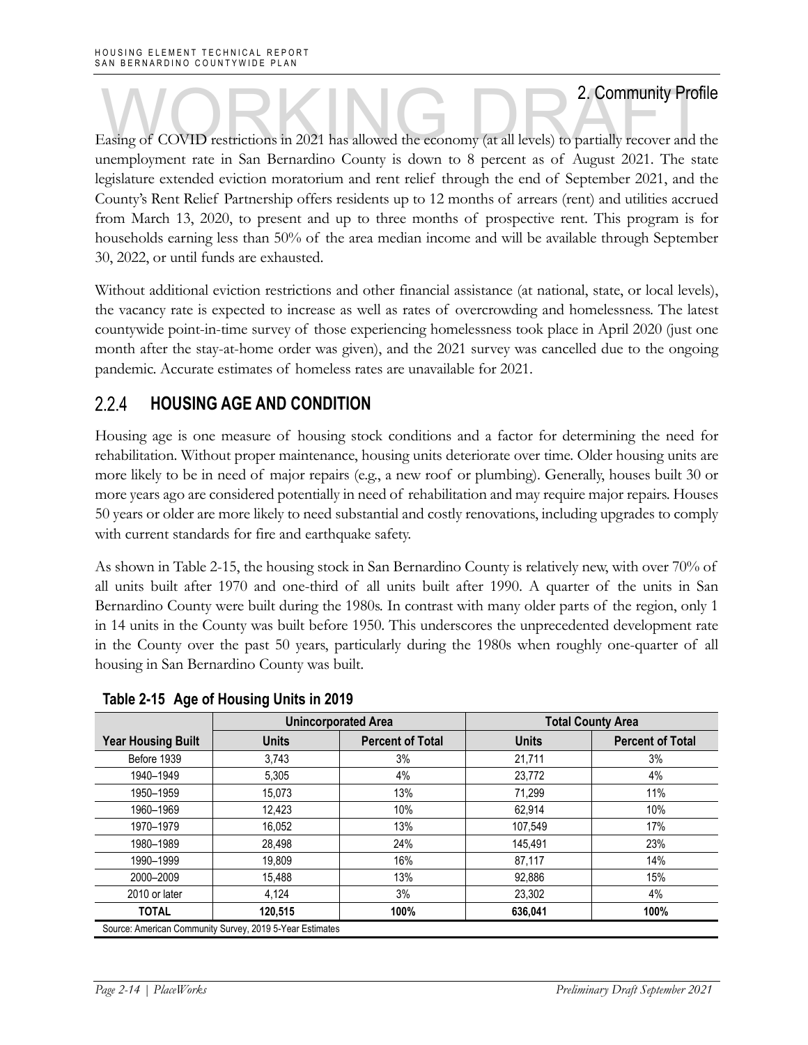Easing of COVID restrictions in 2021 has allowed the economy (at all levels) to partially recover and the unemployment rate in San Bernardino County is down to 8 percent as of August 2021. The state legislature extended eviction moratorium and rent relief through the end of September 2021, and the County's Rent Relief Partnership offers residents up to 12 months of arrears (rent) and utilities accrued from March 13, 2020, to present and up to three months of prospective rent. This program is for households earning less than 50% of the area median income and will be available through September 30, 2022, or until funds are exhausted.

Without additional eviction restrictions and other financial assistance (at national, state, or local levels), the vacancy rate is expected to increase as well as rates of overcrowding and homelessness. The latest countywide point-in-time survey of those experiencing homelessness took place in April 2020 (just one month after the stay-at-home order was given), and the 2021 survey was cancelled due to the ongoing pandemic. Accurate estimates of homeless rates are unavailable for 2021.

#### $2.2.4$  **HOUSING AGE AND CONDITION**

Housing age is one measure of housing stock conditions and a factor for determining the need for rehabilitation. Without proper maintenance, housing units deteriorate over time. Older housing units are more likely to be in need of major repairs (e.g., a new roof or plumbing). Generally, houses built 30 or more years ago are considered potentially in need of rehabilitation and may require major repairs. Houses 50 years or older are more likely to need substantial and costly renovations, including upgrades to comply with current standards for fire and earthquake safety.

As shown in Table 2-15, the housing stock in San Bernardino County is relatively new, with over 70% of all units built after 1970 and one-third of all units built after 1990. A quarter of the units in San Bernardino County were built during the 1980s. In contrast with many older parts of the region, only 1 in 14 units in the County was built before 1950. This underscores the unprecedented development rate in the County over the past 50 years, particularly during the 1980s when roughly one-quarter of all housing in San Bernardino County was built.

|                                                          |              | <b>Unincorporated Area</b> |              | <b>Total County Area</b> |
|----------------------------------------------------------|--------------|----------------------------|--------------|--------------------------|
| <b>Year Housing Built</b>                                | <b>Units</b> | <b>Percent of Total</b>    | <b>Units</b> | <b>Percent of Total</b>  |
| Before 1939                                              | 3.743        | 3%                         | 21.711       | 3%                       |
| 1940-1949                                                | 5.305        | 4%                         | 23.772       | 4%                       |
| 1950-1959                                                | 15.073       | 13%                        | 71.299       | 11%                      |
| 1960-1969                                                | 12,423       | 10%                        | 62,914       | 10%                      |
| 1970-1979                                                | 16,052       | 13%                        | 107.549      | 17%                      |
| 1980-1989                                                | 28.498       | 24%                        | 145.491      | 23%                      |
| 1990-1999                                                | 19.809       | 16%                        | 87,117       | 14%                      |
| 2000-2009                                                | 15,488       | 13%                        | 92.886       | 15%                      |
| 2010 or later                                            | 4.124        | 3%                         | 23,302       | 4%                       |
| <b>TOTAL</b>                                             | 120,515      | 100%                       | 636,041      | 100%                     |
| Source: American Community Survey, 2019 5-Year Estimates |              |                            |              |                          |

**Table 2-15 Age of Housing Units in 2019**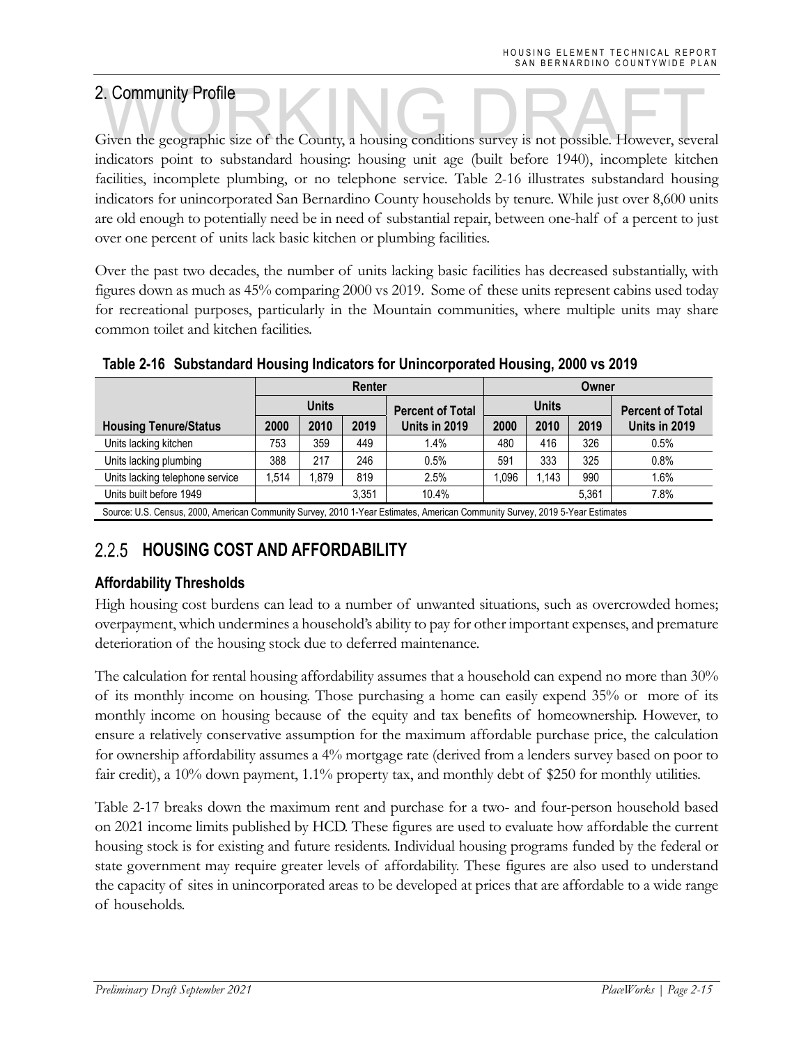2. Community Profile<br>Given the geographic size of the County, a housing conditions survey is not possible. However, several indicators point to substandard housing: housing unit age (built before 1940), incomplete kitchen facilities, incomplete plumbing, or no telephone service. Table 2-16 illustrates substandard housing indicators for unincorporated San Bernardino County households by tenure. While just over 8,600 units are old enough to potentially need be in need of substantial repair, between one-half of a percent to just over one percent of units lack basic kitchen or plumbing facilities.

Over the past two decades, the number of units lacking basic facilities has decreased substantially, with figures down as much as 45% comparing 2000 vs 2019. Some of these units represent cabins used today for recreational purposes, particularly in the Mountain communities, where multiple units may share common toilet and kitchen facilities.

|                                                                                                                               |       | Renter       |       |                         |       | Owner |       |                         |  |
|-------------------------------------------------------------------------------------------------------------------------------|-------|--------------|-------|-------------------------|-------|-------|-------|-------------------------|--|
|                                                                                                                               |       | <b>Units</b> |       | <b>Percent of Total</b> | Units |       |       | <b>Percent of Total</b> |  |
| <b>Housing Tenure/Status</b>                                                                                                  | 2000  | 2010<br>2019 |       | Units in 2019           | 2000  | 2010  | 2019  | Units in 2019           |  |
| Units lacking kitchen                                                                                                         | 753   | 359          | 449   | 1.4%                    | 480   | 416   | 326   | 0.5%                    |  |
| Units lacking plumbing                                                                                                        | 388   | 217          | 246   | 0.5%                    | 591   | 333   | 325   | 0.8%                    |  |
| Units lacking telephone service                                                                                               | 1,514 | .879         | 819   | 2.5%                    | 0.096 | 1.143 | 990   | 1.6%                    |  |
| Units built before 1949                                                                                                       |       |              | 3.351 | 10.4%                   |       |       | 5.361 | 7.8%                    |  |
| Source: U.S. Census, 2000, American Community Survey, 2010 1-Year Estimates, American Community Survey, 2019 5-Year Estimates |       |              |       |                         |       |       |       |                         |  |

**Table 2-16 Substandard Housing Indicators for Unincorporated Housing, 2000 vs 2019**

### $2.2.5$ **HOUSING COST AND AFFORDABILITY**

### **Affordability Thresholds**

High housing cost burdens can lead to a number of unwanted situations, such as overcrowded homes; overpayment, which undermines a household's ability to pay for other important expenses, and premature deterioration of the housing stock due to deferred maintenance.

The calculation for rental housing affordability assumes that a household can expend no more than 30% of its monthly income on housing. Those purchasing a home can easily expend 35% or more of its monthly income on housing because of the equity and tax benefits of homeownership. However, to ensure a relatively conservative assumption for the maximum affordable purchase price, the calculation for ownership affordability assumes a 4% mortgage rate (derived from a lenders survey based on poor to fair credit), a 10% down payment, 1.1% property tax, and monthly debt of \$250 for monthly utilities.

Table 2-17 breaks down the maximum rent and purchase for a two- and four-person household based on 2021 income limits published by HCD. These figures are used to evaluate how affordable the current housing stock is for existing and future residents. Individual housing programs funded by the federal or state government may require greater levels of affordability. These figures are also used to understand the capacity of sites in unincorporated areas to be developed at prices that are affordable to a wide range of households.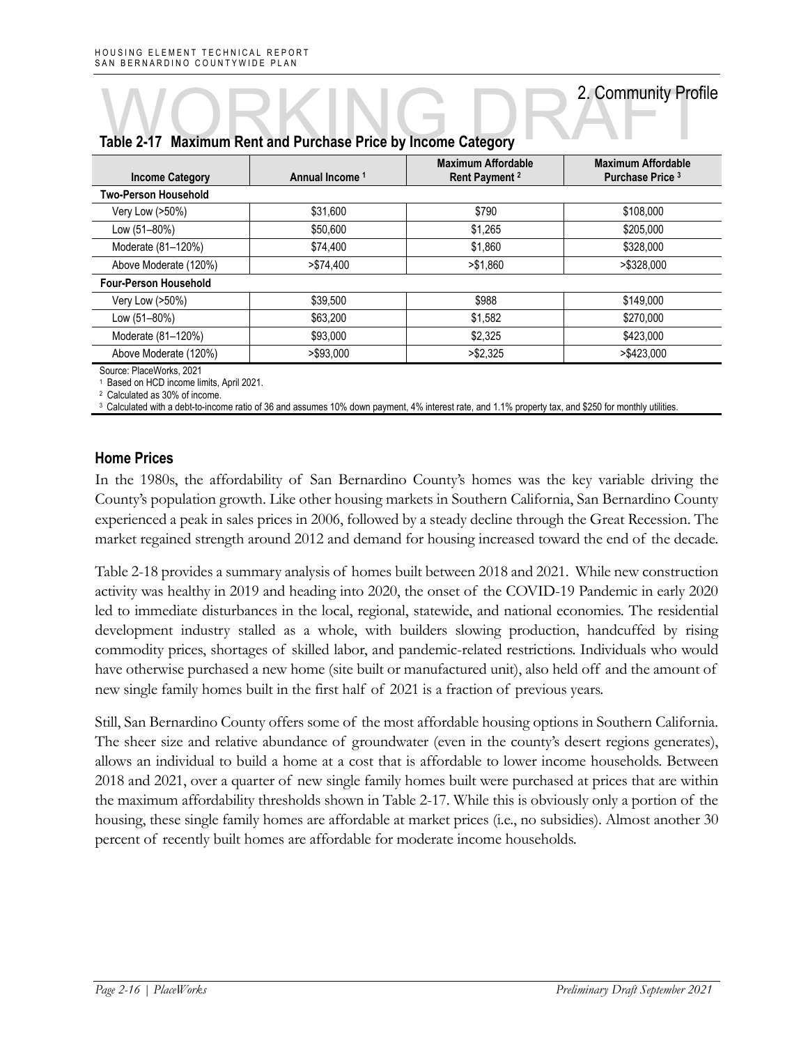### **Income Category Annual Income 1 Maximum Affordable Rent Payment 2 Maximum Affordable Purchase Price 3 Two-Person Household**  Very Low (>50%) \$31,600 \$790 \$108,000 Low (51–80%) \$50,600 \$1,265 \$205,000 Moderate (81–120%)  $$74,400$   $$1,860$   $$328,000$  Above Moderate (120%) >\$74,400 >\$1,860 >\$328,000 **Four-Person Household**  Very Low (>50%) \$39,500 \$988 \$149,000 Low (51–80%) \$63,200 \$1,582 \$270,000 Moderate (81–120%) **\$93,000** \$93,000 \$2,325 \$423,000 Above Moderate (120%) >\$93,000 >\$2,325 >\$423,000

# Table 2-17 Maximum Rent and Purchase Price by Income Category **2. Community Profit**

Source: PlaceWorks, 2021

1 Based on HCD income limits, April 2021.

2 Calculated as 30% of income.

<sup>3</sup> Calculated with a debt-to-income ratio of 36 and assumes 10% down payment, 4% interest rate, and 1.1% property tax, and \$250 for monthly utilities

### **Home Prices**

In the 1980s, the affordability of San Bernardino County's homes was the key variable driving the County's population growth. Like other housing markets in Southern California, San Bernardino County experienced a peak in sales prices in 2006, followed by a steady decline through the Great Recession. The market regained strength around 2012 and demand for housing increased toward the end of the decade.

Table 2-18 provides a summary analysis of homes built between 2018 and 2021. While new construction activity was healthy in 2019 and heading into 2020, the onset of the COVID-19 Pandemic in early 2020 led to immediate disturbances in the local, regional, statewide, and national economies. The residential development industry stalled as a whole, with builders slowing production, handcuffed by rising commodity prices, shortages of skilled labor, and pandemic-related restrictions. Individuals who would have otherwise purchased a new home (site built or manufactured unit), also held off and the amount of new single family homes built in the first half of 2021 is a fraction of previous years.

Still, San Bernardino County offers some of the most affordable housing options in Southern California. The sheer size and relative abundance of groundwater (even in the county's desert regions generates), allows an individual to build a home at a cost that is affordable to lower income households. Between 2018 and 2021, over a quarter of new single family homes built were purchased at prices that are within the maximum affordability thresholds shown in Table 2-17. While this is obviously only a portion of the housing, these single family homes are affordable at market prices (i.e., no subsidies). Almost another 30 percent of recently built homes are affordable for moderate income households.

2. Community Profile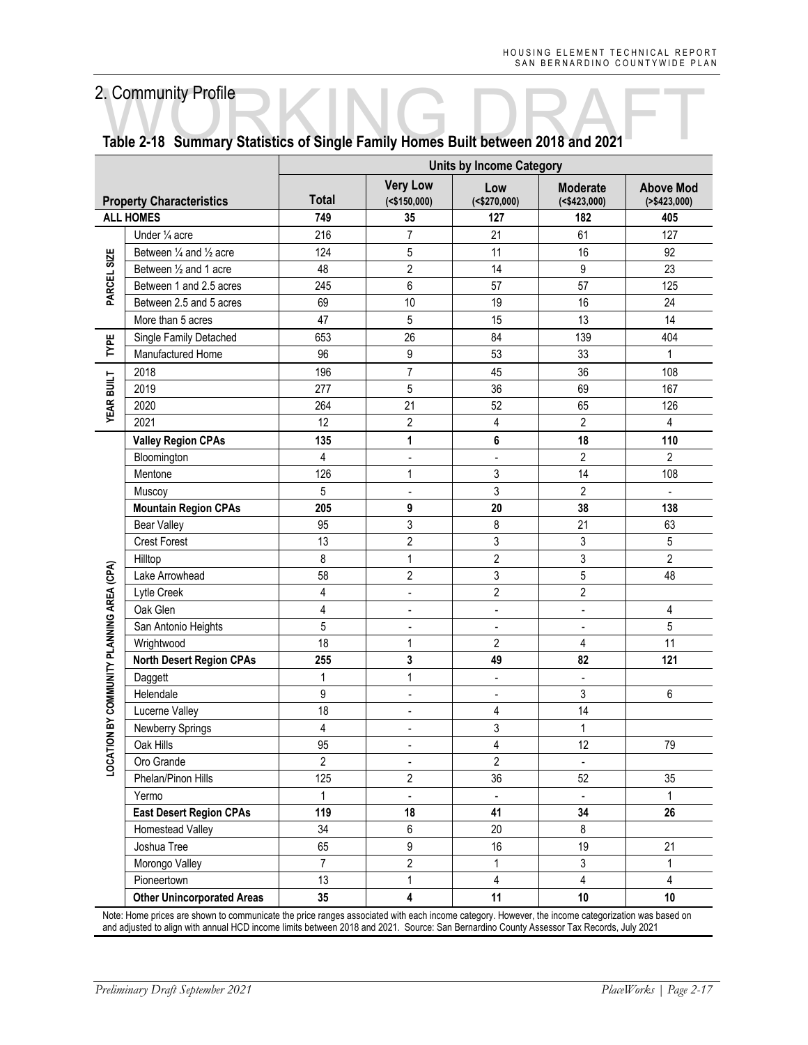|                                     |                                                                                                                                                   |                |                                    | <b>Units by Income Category</b> |                                       |                                    |
|-------------------------------------|---------------------------------------------------------------------------------------------------------------------------------------------------|----------------|------------------------------------|---------------------------------|---------------------------------------|------------------------------------|
|                                     | <b>Property Characteristics</b>                                                                                                                   | <b>Total</b>   | <b>Very Low</b><br>$($ <\$150,000) | Low<br>( <b>\$270,000</b> )     | <b>Moderate</b><br>( <b>423,000</b> ) | <b>Above Mod</b><br>( > \$423,000) |
|                                     | <b>ALL HOMES</b>                                                                                                                                  | 749            | 35                                 | 127                             | 182                                   | 405                                |
|                                     | Under 1/4 acre                                                                                                                                    | 216            | 7                                  | 21                              | 61                                    | 127                                |
|                                     | Between 1/4 and 1/2 acre                                                                                                                          | 124            | 5                                  | 11                              | 16                                    | 92                                 |
| PARCEL SIZE                         | Between 1/2 and 1 acre                                                                                                                            | 48             | $\overline{2}$                     | 14                              | 9                                     | 23                                 |
|                                     | Between 1 and 2.5 acres                                                                                                                           | 245            | 6                                  | 57                              | 57                                    | 125                                |
|                                     | Between 2.5 and 5 acres                                                                                                                           | 69             | 10                                 | 19                              | 16                                    | 24                                 |
|                                     | More than 5 acres                                                                                                                                 | 47             | 5                                  | 15                              | 13                                    | 14                                 |
| TYPE                                | Single Family Detached                                                                                                                            | 653            | 26                                 | 84                              | 139                                   | 404                                |
|                                     | Manufactured Home                                                                                                                                 | 96             | 9                                  | 53                              | 33                                    | $\mathbf 1$                        |
|                                     | 2018                                                                                                                                              | 196            | $\overline{7}$                     | 45                              | 36                                    | 108                                |
| <b>YEAR BUILT</b>                   | 2019                                                                                                                                              | 277            | 5                                  | 36                              | 69                                    | 167                                |
|                                     | 2020                                                                                                                                              | 264            | 21                                 | 52                              | 65                                    | 126                                |
|                                     | 2021                                                                                                                                              | 12             | $\overline{2}$                     | 4                               | $\overline{2}$                        | $\overline{4}$                     |
|                                     | <b>Valley Region CPAs</b>                                                                                                                         | 135            | 1                                  | 6                               | 18                                    | 110                                |
|                                     | Bloomington                                                                                                                                       | 4              | $\overline{\phantom{a}}$           | $\overline{\phantom{a}}$        | $\overline{2}$                        | $\overline{2}$                     |
|                                     | Mentone                                                                                                                                           | 126            | $\mathbf{1}$                       | 3                               | 14                                    | 108                                |
|                                     | Muscoy                                                                                                                                            | 5              | $\overline{\phantom{a}}$           | 3                               | $\overline{2}$                        | $\overline{\phantom{a}}$           |
|                                     | <b>Mountain Region CPAs</b>                                                                                                                       | 205            | 9                                  | 20                              | 38                                    | 138                                |
|                                     | <b>Bear Valley</b>                                                                                                                                | 95             | 3                                  | 8                               | 21                                    | 63                                 |
|                                     | <b>Crest Forest</b>                                                                                                                               | 13             | $\overline{2}$                     | 3                               | 3                                     | $\mathbf 5$                        |
|                                     | Hilltop                                                                                                                                           | 8              | $\mathbf{1}$                       | $\overline{c}$                  | 3                                     | $\overline{c}$                     |
| ON BY COMMUNITY PLANNING AREA (CPA) | Lake Arrowhead                                                                                                                                    | 58             | $\sqrt{2}$                         | 3                               | 5                                     | 48                                 |
|                                     | Lytle Creek                                                                                                                                       | 4              | $\overline{a}$                     | $\overline{2}$                  | $\overline{2}$                        |                                    |
|                                     | Oak Glen                                                                                                                                          | 4              | $\overline{\phantom{a}}$           | $\blacksquare$                  | $\blacksquare$                        | 4                                  |
|                                     | San Antonio Heights                                                                                                                               | 5              | $\blacksquare$                     | $\overline{\phantom{a}}$        | $\blacksquare$                        | $\sqrt{5}$                         |
|                                     | Wrightwood                                                                                                                                        | 18             | $\mathbf{1}$                       | $\sqrt{2}$                      | 4                                     | 11                                 |
|                                     | <b>North Desert Region CPAs</b>                                                                                                                   | 255            | 3                                  | 49                              | 82                                    | 121                                |
|                                     | Daggett                                                                                                                                           | 1              | $\mathbf{1}$                       | $\frac{1}{2}$                   | $\frac{1}{2}$                         |                                    |
|                                     | Helendale                                                                                                                                         | 9              | $\overline{\phantom{a}}$           | $\overline{\phantom{a}}$        | 3                                     | 6                                  |
|                                     | Lucerne Valley                                                                                                                                    | 18             | $\blacksquare$                     | 4                               | 14                                    |                                    |
|                                     | Newberry Springs                                                                                                                                  | 4              | ÷                                  | 3                               | 1                                     |                                    |
|                                     | Oak Hills                                                                                                                                         | 95             |                                    | 4                               | 12                                    | 79                                 |
| LOCATI                              | Oro Grande                                                                                                                                        | $\overline{2}$ | $\overline{\phantom{a}}$           | $\overline{2}$                  | $\blacksquare$                        |                                    |
|                                     | Phelan/Pinon Hills                                                                                                                                | 125            | $\overline{2}$                     | 36                              | 52                                    | 35                                 |
|                                     | Yermo                                                                                                                                             | $\mathbf{1}$   | $\blacksquare$                     | $\overline{\phantom{a}}$        | $\blacksquare$                        | $\mathbf{1}$                       |
|                                     | <b>East Desert Region CPAs</b>                                                                                                                    | 119            | 18                                 | 41                              | 34                                    | 26                                 |
|                                     | Homestead Valley                                                                                                                                  | 34             | 6                                  | 20                              | $\bf 8$                               |                                    |
|                                     | Joshua Tree                                                                                                                                       | 65             | 9                                  | 16                              | 19                                    | 21                                 |
|                                     | Morongo Valley                                                                                                                                    | $\overline{7}$ | $\overline{2}$                     | 1                               | 3                                     | $\mathbf{1}$                       |
|                                     | Pioneertown                                                                                                                                       | 13             | $\mathbf{1}$                       | 4                               | $\overline{4}$                        | $\overline{4}$                     |
|                                     | <b>Other Unincorporated Areas</b>                                                                                                                 | 35             | 4                                  | 11                              | 10                                    | 10                                 |
|                                     | Note: Home prices are shown to communicate the price ranges associated with each income category. However, the income categorization was based on |                |                                    |                                 |                                       |                                    |

# Table 2-18 Summary Statistics of Single Family Homes Built between 2018 and 2021

Note: Home prices are shown to communicate the price ranges associated with each income category. However, the income categorization was based on and adjusted to align with annual HCD income limits between 2018 and 2021. Source: San Bernardino County Assessor Tax Records, July 2021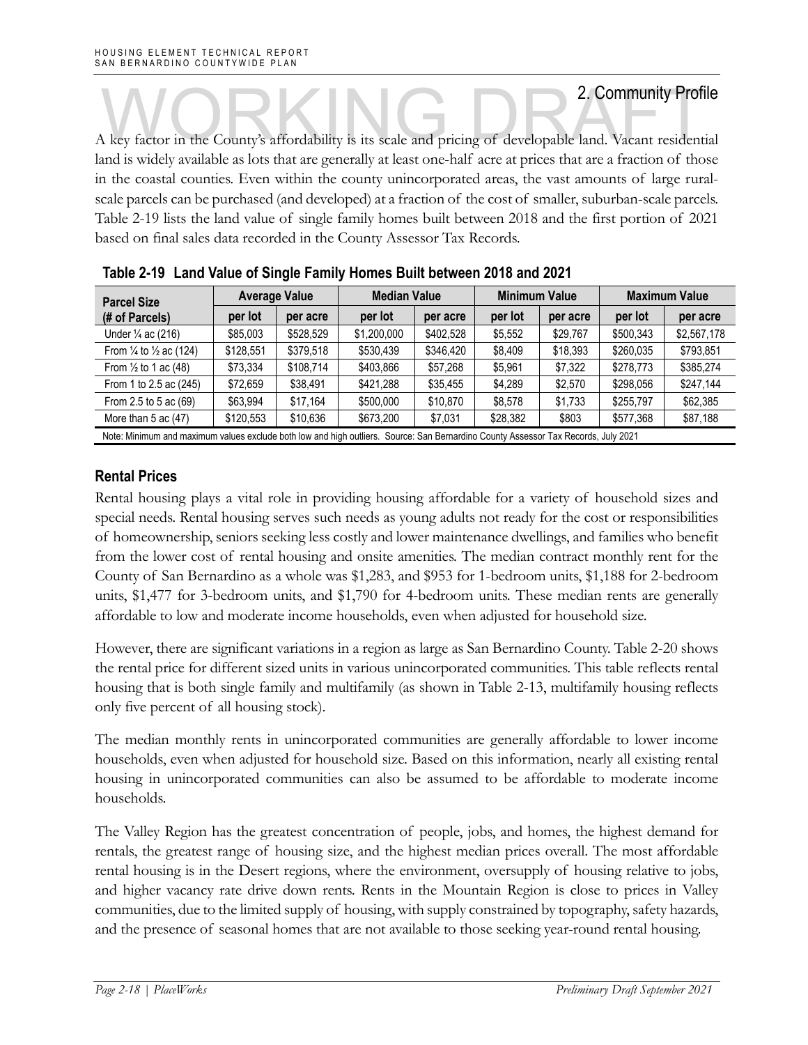A key factor in the County's affordability is its scale and pricing of developable land. Vacant residential land is widely available as lots that are generally at least one-half acre at prices that are a fraction of those in the coastal counties. Even within the county unincorporated areas, the vast amounts of large ruralscale parcels can be purchased (and developed) at a fraction of the cost of smaller, suburban-scale parcels. Table 2-19 lists the land value of single family homes built between 2018 and the first portion of 2021 based on final sales data recorded in the County Assessor Tax Records.

| <b>Parcel Size</b>                                                                                                                 | <b>Average Value</b> |           | <b>Median Value</b> |           | <b>Minimum Value</b> |          | <b>Maximum Value</b> |             |
|------------------------------------------------------------------------------------------------------------------------------------|----------------------|-----------|---------------------|-----------|----------------------|----------|----------------------|-------------|
| (# of Parcels)                                                                                                                     | per lot              | per acre  | per lot             | per acre  | per lot              | per acre | per lot              | per acre    |
| Under 1/4 ac (216)                                                                                                                 | \$85,003             | \$528,529 | \$1,200,000         | \$402.528 | \$5,552              | \$29,767 | \$500.343            | \$2,567,178 |
| From $\frac{1}{4}$ to $\frac{1}{2}$ ac (124)                                                                                       | \$128,551            | \$379.518 | \$530,439           | \$346,420 | \$8,409              | \$18,393 | \$260,035            | \$793,851   |
| From $\frac{1}{2}$ to 1 ac (48)                                                                                                    | \$73.334             | \$108,714 | \$403,866           | \$57,268  | \$5,961              | \$7,322  | \$278,773            | \$385,274   |
| From 1 to 2.5 ac (245)                                                                                                             | \$72,659             | \$38,491  | \$421.288           | \$35,455  | \$4,289              | \$2,570  | \$298,056            | \$247,144   |
| From 2.5 to 5 ac (69)                                                                                                              | \$63.994             | \$17.164  | \$500,000           | \$10,870  | \$8.578              | \$1,733  | \$255.797            | \$62,385    |
| More than $5$ ac $(47)$                                                                                                            | \$120,553            | \$10,636  | \$673,200           | \$7,031   | \$28,382             | \$803    | \$577,368            | \$87,188    |
| Note: Minimum and maximum values exclude both low and high outliers. Source: San Bernardino County Assessor Tax Records, July 2021 |                      |           |                     |           |                      |          |                      |             |

|  |  | Table 2-19 Land Value of Single Family Homes Built between 2018 and 2021 |
|--|--|--------------------------------------------------------------------------|
|  |  |                                                                          |

### **Rental Prices**

Rental housing plays a vital role in providing housing affordable for a variety of household sizes and special needs. Rental housing serves such needs as young adults not ready for the cost or responsibilities of homeownership, seniors seeking less costly and lower maintenance dwellings, and families who benefit from the lower cost of rental housing and onsite amenities. The median contract monthly rent for the County of San Bernardino as a whole was \$1,283, and \$953 for 1-bedroom units, \$1,188 for 2-bedroom units, \$1,477 for 3-bedroom units, and \$1,790 for 4-bedroom units. These median rents are generally affordable to low and moderate income households, even when adjusted for household size.

However, there are significant variations in a region as large as San Bernardino County. Table 2-20 shows the rental price for different sized units in various unincorporated communities. This table reflects rental housing that is both single family and multifamily (as shown in Table 2-13, multifamily housing reflects only five percent of all housing stock).

The median monthly rents in unincorporated communities are generally affordable to lower income households, even when adjusted for household size. Based on this information, nearly all existing rental housing in unincorporated communities can also be assumed to be affordable to moderate income households.

The Valley Region has the greatest concentration of people, jobs, and homes, the highest demand for rentals, the greatest range of housing size, and the highest median prices overall. The most affordable rental housing is in the Desert regions, where the environment, oversupply of housing relative to jobs, and higher vacancy rate drive down rents. Rents in the Mountain Region is close to prices in Valley communities, due to the limited supply of housing, with supply constrained by topography, safety hazards, and the presence of seasonal homes that are not available to those seeking year-round rental housing.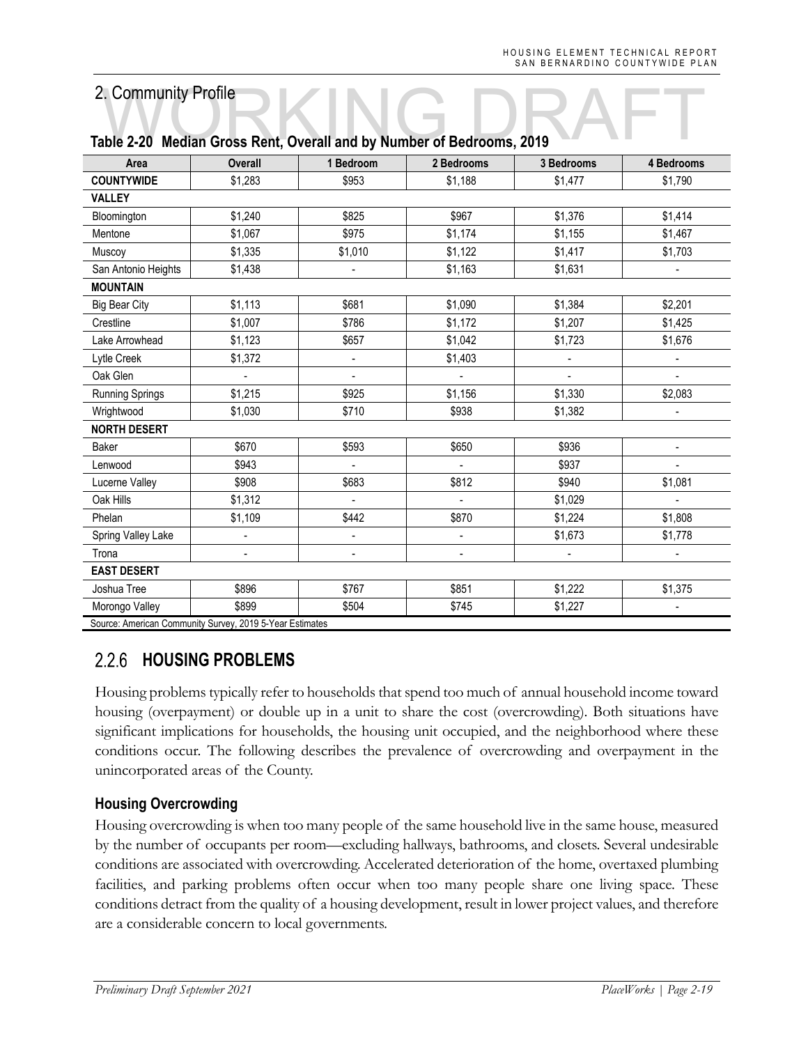|                      |                | iasio 2 20 mioanii 01000 Mont, 0101an and 87 Mannoel of Doarbonno, 2010 |                          |              |                          |
|----------------------|----------------|-------------------------------------------------------------------------|--------------------------|--------------|--------------------------|
| Area                 | <b>Overall</b> | 1 Bedroom                                                               | 2 Bedrooms               | 3 Bedrooms   | 4 Bedrooms               |
| <b>COUNTYWIDE</b>    | \$1,283        | \$953                                                                   | \$1,188                  | \$1,477      | \$1,790                  |
| <b>VALLEY</b>        |                |                                                                         |                          |              |                          |
| Bloomington          | \$1,240        | \$825                                                                   | \$967                    | \$1,376      | \$1,414                  |
| Mentone              | \$1,067        | \$975                                                                   | \$1,174                  | \$1,155      | \$1,467                  |
| Muscoy               | \$1,335        | \$1,010                                                                 | \$1,122                  | \$1,417      | \$1,703                  |
| San Antonio Heights  | \$1,438        | $\overline{\phantom{a}}$                                                | \$1,163                  | \$1,631      | $\blacksquare$           |
| <b>MOUNTAIN</b>      |                |                                                                         |                          |              |                          |
| <b>Big Bear City</b> | \$1,113        | \$681                                                                   | \$1,090                  | \$1,384      | \$2,201                  |
| Crestline            | \$1,007        | \$786                                                                   | \$1,172                  | \$1,207      | \$1,425                  |
| Lake Arrowhead       | \$1,123        | \$657                                                                   | \$1,042                  | \$1,723      | \$1,676                  |
| Lytle Creek          | \$1,372        | $\blacksquare$                                                          | \$1,403                  | $\mathbf{r}$ | $\blacksquare$           |
| Oak Glen             | $\overline{a}$ | $\overline{\phantom{a}}$                                                | $\overline{\phantom{a}}$ |              | $\blacksquare$           |
| Running Springs      | \$1,215        | \$925                                                                   | \$1,156                  | \$1,330      | \$2,083                  |
| Wrightwood           | \$1,030        | \$710                                                                   | \$938                    | \$1,382      | $\overline{\phantom{a}}$ |
| <b>NORTH DESERT</b>  |                |                                                                         |                          |              |                          |
| Baker                | \$670          | \$593                                                                   | \$650                    | \$936        |                          |
| Lenwood              | \$943          | $\blacksquare$                                                          | $\blacksquare$           | \$937        | $\blacksquare$           |
| Lucerne Valley       | \$908          | \$683                                                                   | \$812                    | \$940        | \$1,081                  |
| Oak Hills            | \$1,312        | $\blacksquare$                                                          | $\blacksquare$           | \$1,029      | $\overline{a}$           |
| Phelan               | \$1,109        | \$442                                                                   | \$870                    | \$1,224      | \$1,808                  |
| Spring Valley Lake   |                | $\blacksquare$                                                          |                          | \$1,673      | \$1,778                  |
| Trona                | -              | $\overline{\phantom{a}}$                                                | $\blacksquare$           |              | $\blacksquare$           |
| <b>EAST DESERT</b>   |                |                                                                         |                          |              |                          |
| Joshua Tree          | \$896          | \$767                                                                   | \$851                    | \$1,222      | \$1,375                  |
| Morongo Valley       | \$899          | \$504                                                                   | \$745                    | \$1,227      |                          |
|                      |                |                                                                         |                          |              |                          |

# **Table 2-20 Median Gross Rent, Overall and by Number of Bedrooms, 2019**

Source: American Community Survey, 2019 5-Year Estimates

### $2.2.6$ **HOUSING PROBLEMS**

Housing problems typically refer to households that spend too much of annual household income toward housing (overpayment) or double up in a unit to share the cost (overcrowding). Both situations have significant implications for households, the housing unit occupied, and the neighborhood where these conditions occur. The following describes the prevalence of overcrowding and overpayment in the unincorporated areas of the County.

### **Housing Overcrowding**

Housing overcrowding is when too many people of the same household live in the same house, measured by the number of occupants per room—excluding hallways, bathrooms, and closets. Several undesirable conditions are associated with overcrowding. Accelerated deterioration of the home, overtaxed plumbing facilities, and parking problems often occur when too many people share one living space. These conditions detract from the quality of a housing development, result in lower project values, and therefore are a considerable concern to local governments.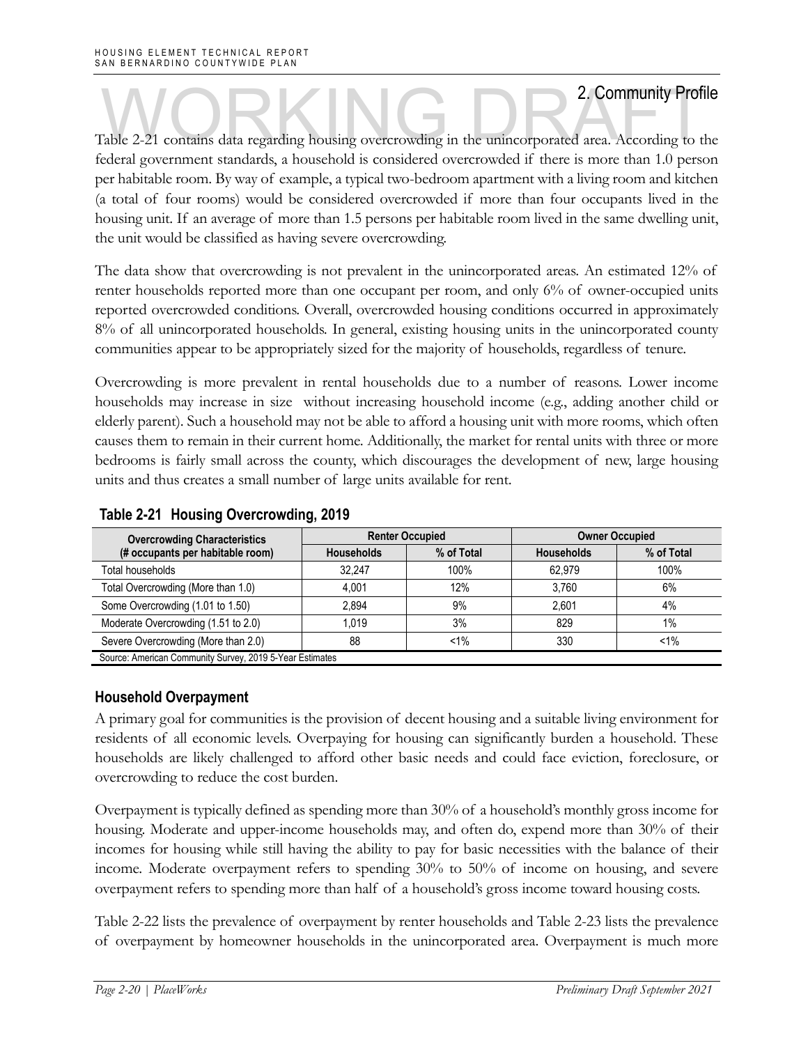Table 2-21 contains data regarding housing overcrowding in the unincorporated area. According to the federal government standards, a household is considered overcrowded if there is more than 1.0 person per habitable room. By way of example, a typical two-bedroom apartment with a living room and kitchen (a total of four rooms) would be considered overcrowded if more than four occupants lived in the housing unit. If an average of more than 1.5 persons per habitable room lived in the same dwelling unit, the unit would be classified as having severe overcrowding.

The data show that overcrowding is not prevalent in the unincorporated areas. An estimated 12% of renter households reported more than one occupant per room, and only 6% of owner-occupied units reported overcrowded conditions. Overall, overcrowded housing conditions occurred in approximately 8% of all unincorporated households. In general, existing housing units in the unincorporated county communities appear to be appropriately sized for the majority of households, regardless of tenure.

Overcrowding is more prevalent in rental households due to a number of reasons. Lower income households may increase in size without increasing household income (e.g., adding another child or elderly parent). Such a household may not be able to afford a housing unit with more rooms, which often causes them to remain in their current home. Additionally, the market for rental units with three or more bedrooms is fairly small across the county, which discourages the development of new, large housing units and thus creates a small number of large units available for rent.

| <b>Overcrowding Characteristics</b>                      |                   | <b>Renter Occupied</b> | <b>Owner Occupied</b> |            |  |
|----------------------------------------------------------|-------------------|------------------------|-----------------------|------------|--|
| (# occupants per habitable room)                         | <b>Households</b> | % of Total             | <b>Households</b>     | % of Total |  |
| Total households                                         | 32.247            | 100%                   | 62.979                | 100%       |  |
| Total Overcrowding (More than 1.0)                       | 4.001             | 12%                    | 3.760                 | 6%         |  |
| Some Overcrowding (1.01 to 1.50)                         | 2.894             | 9%                     | 2.601                 | 4%         |  |
| Moderate Overcrowding (1.51 to 2.0)                      | 1.019             | 3%                     | 829                   | $1\%$      |  |
| Severe Overcrowding (More than 2.0)                      | 88                | $< 1\%$                | 330                   | $< 1\%$    |  |
| Source: American Community Survey, 2019 5-Year Estimates |                   |                        |                       |            |  |

### **Table 2-21 Housing Overcrowding, 2019**

### **Household Overpayment**

A primary goal for communities is the provision of decent housing and a suitable living environment for residents of all economic levels. Overpaying for housing can significantly burden a household. These households are likely challenged to afford other basic needs and could face eviction, foreclosure, or overcrowding to reduce the cost burden.

Overpayment is typically defined as spending more than 30% of a household's monthly gross income for housing. Moderate and upper-income households may, and often do, expend more than 30% of their incomes for housing while still having the ability to pay for basic necessities with the balance of their income. Moderate overpayment refers to spending 30% to 50% of income on housing, and severe overpayment refers to spending more than half of a household's gross income toward housing costs.

Table 2-22 lists the prevalence of overpayment by renter households and Table 2-23 lists the prevalence of overpayment by homeowner households in the unincorporated area. Overpayment is much more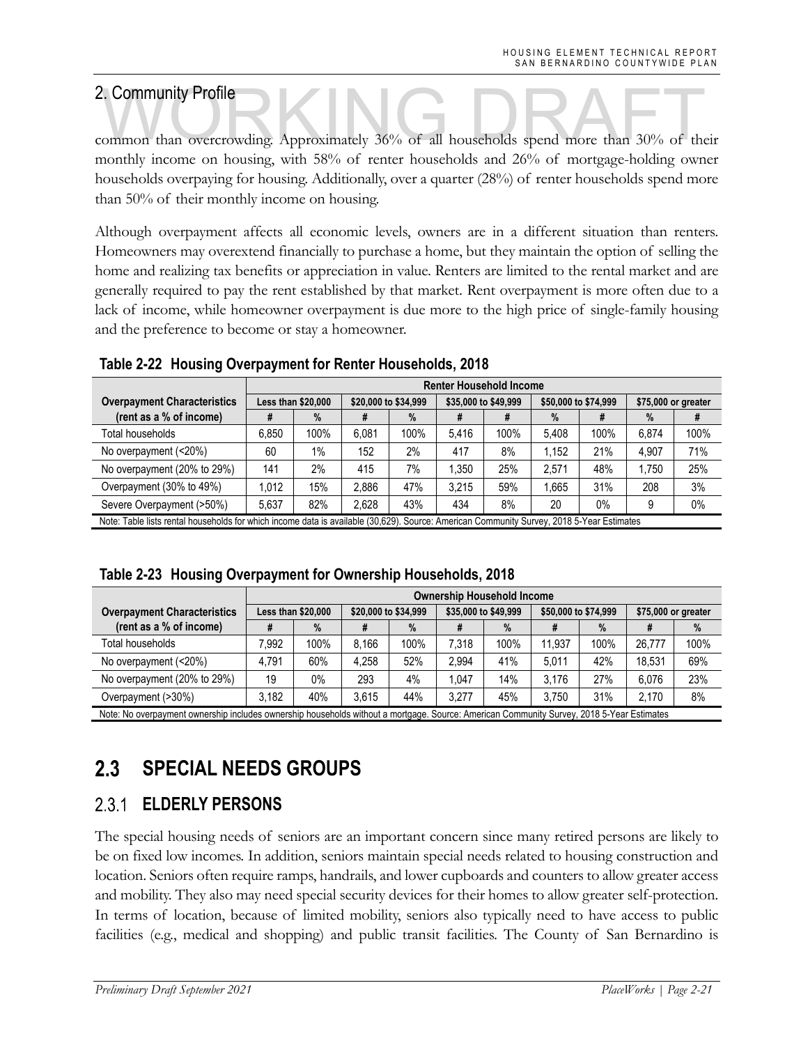2. Community Profile<br>
common than overcrowding. Approximately 36% of all households spend more than 30% of their monthly income on housing, with 58% of renter households and 26% of mortgage-holding owner households overpaying for housing. Additionally, over a quarter (28%) of renter households spend more than 50% of their monthly income on housing.

Although overpayment affects all economic levels, owners are in a different situation than renters. Homeowners may overextend financially to purchase a home, but they maintain the option of selling the home and realizing tax benefits or appreciation in value. Renters are limited to the rental market and are generally required to pay the rent established by that market. Rent overpayment is more often due to a lack of income, while homeowner overpayment is due more to the high price of single-family housing and the preference to become or stay a homeowner.

|                                                                                                                                           |                    | <b>Renter Household Income</b> |       |                      |       |                      |       |                      |       |                     |  |
|-------------------------------------------------------------------------------------------------------------------------------------------|--------------------|--------------------------------|-------|----------------------|-------|----------------------|-------|----------------------|-------|---------------------|--|
| <b>Overpayment Characteristics</b>                                                                                                        | Less than \$20,000 |                                |       | \$20,000 to \$34,999 |       | \$35,000 to \$49,999 |       | \$50,000 to \$74,999 |       | \$75,000 or greater |  |
| (rent as a % of income)                                                                                                                   |                    | $\%$                           | ₩     | $\%$                 | #     |                      | $\%$  | π                    | $\%$  | #                   |  |
| Total households                                                                                                                          | 6.850              | 100%                           | 6.081 | 100%                 | 5.416 | 100%                 | 5.408 | 100%                 | 6.874 | 100%                |  |
| No overpayment (<20%)                                                                                                                     | 60                 | 1%                             | 152   | 2%                   | 417   | 8%                   | 1.152 | 21%                  | 4.907 | 71%                 |  |
| No overpayment (20% to 29%)                                                                                                               | 141                | 2%                             | 415   | 7%                   | .350  | 25%                  | 2.571 | 48%                  | 1.750 | 25%                 |  |
| Overpayment (30% to 49%)                                                                                                                  | 1.012              | 15%                            | 2.886 | 47%                  | 3.215 | 59%                  | 1.665 | 31%                  | 208   | 3%                  |  |
| Severe Overpayment (>50%)                                                                                                                 | 5.637              | 82%                            | 2.628 | 43%                  | 434   | 8%                   | 20    | 0%                   | 9     | $0\%$               |  |
| Note: Table lists rental households for which income data is available (30.629). Source: American Community Survey, 2018 5-Year Estimates |                    |                                |       |                      |       |                      |       |                      |       |                     |  |

### **Table 2-22 Housing Overpayment for Renter Households, 2018**

|  | Table 2-23 Housing Overpayment for Ownership Households, 2018 |  |
|--|---------------------------------------------------------------|--|
|  |                                                               |  |

|                                                                                                                                           |       | <b>Ownership Household Income</b> |       |                      |       |                      |        |                      |        |                     |  |
|-------------------------------------------------------------------------------------------------------------------------------------------|-------|-----------------------------------|-------|----------------------|-------|----------------------|--------|----------------------|--------|---------------------|--|
| <b>Overpayment Characteristics</b>                                                                                                        |       | Less than \$20,000                |       | \$20,000 to \$34,999 |       | \$35,000 to \$49,999 |        | \$50,000 to \$74,999 |        | \$75,000 or greater |  |
| (rent as a % of income)                                                                                                                   |       | %                                 | ₩     | $\%$                 | Ħ     | $\%$                 | #      | $\%$                 |        | %                   |  |
| Total households                                                                                                                          | .992  | 100%                              | 8.166 | 100%                 | 7.318 | 100%                 | 11.937 | 100%                 | 26.777 | 100%                |  |
| No overpayment (<20%)                                                                                                                     | 4.791 | 60%                               | 4.258 | 52%                  | 2.994 | 41%                  | 5.011  | 42%                  | 18.531 | 69%                 |  |
| No overpayment (20% to 29%)                                                                                                               | 19    | $0\%$                             | 293   | 4%                   | .047  | 14%                  | 3.176  | 27%                  | 6.076  | 23%                 |  |
| Overpayment (>30%)                                                                                                                        | 3.182 | 40%                               | 3.615 | 44%                  | 3.277 | 45%                  | 3.750  | 31%                  | 2.170  | 8%                  |  |
| Note: No overpayment ownership includes ownership households without a mortgage. Source: American Community Survey, 2018 5-Year Estimates |       |                                   |       |                      |       |                      |        |                      |        |                     |  |

### $2.3$ **SPECIAL NEEDS GROUPS**

### **ELDERLY PERSONS**  2.3.1

The special housing needs of seniors are an important concern since many retired persons are likely to be on fixed low incomes. In addition, seniors maintain special needs related to housing construction and location. Seniors often require ramps, handrails, and lower cupboards and counters to allow greater access and mobility. They also may need special security devices for their homes to allow greater self-protection. In terms of location, because of limited mobility, seniors also typically need to have access to public facilities (e.g., medical and shopping) and public transit facilities. The County of San Bernardino is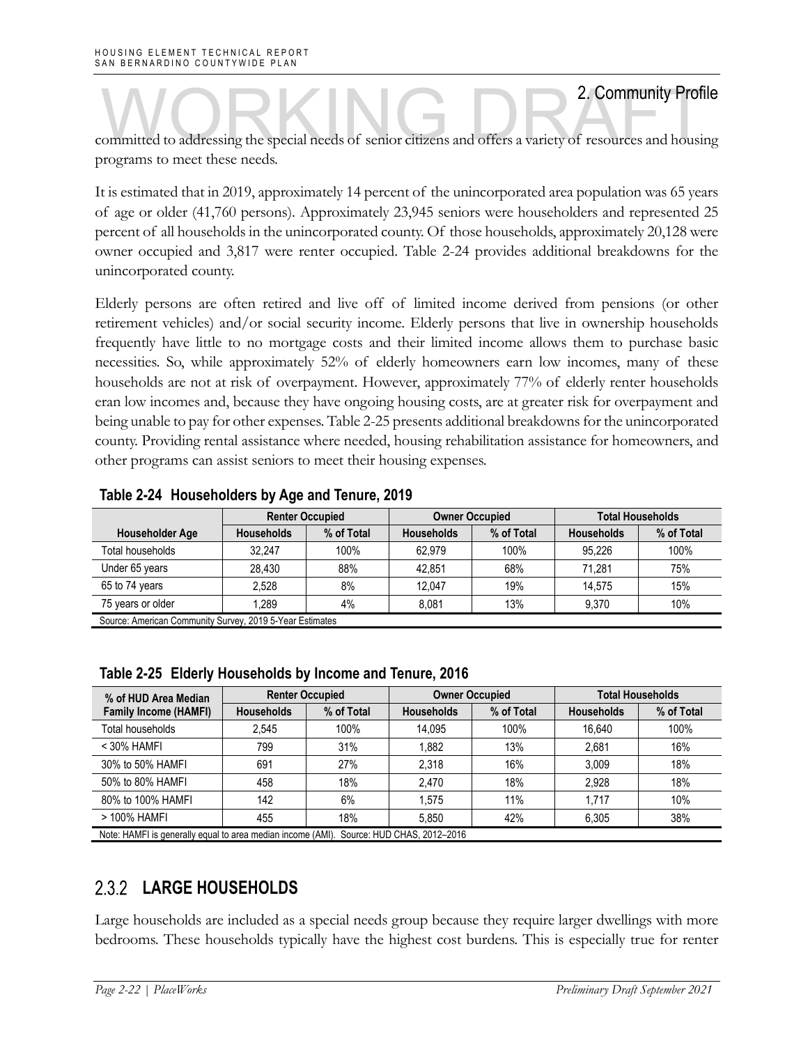2. Community Profile<br>
committed to addressing the special needs of senior citizens and offers a variety of resources and housing programs to meet these needs.

It is estimated that in 2019, approximately 14 percent of the unincorporated area population was 65 years of age or older (41,760 persons). Approximately 23,945 seniors were householders and represented 25 percent of all households in the unincorporated county. Of those households, approximately 20,128 were owner occupied and 3,817 were renter occupied. Table 2-24 provides additional breakdowns for the unincorporated county.

Elderly persons are often retired and live off of limited income derived from pensions (or other retirement vehicles) and/or social security income. Elderly persons that live in ownership households frequently have little to no mortgage costs and their limited income allows them to purchase basic necessities. So, while approximately 52% of elderly homeowners earn low incomes, many of these households are not at risk of overpayment. However, approximately 77% of elderly renter households eran low incomes and, because they have ongoing housing costs, are at greater risk for overpayment and being unable to pay for other expenses. Table 2-25 presents additional breakdowns for the unincorporated county. Providing rental assistance where needed, housing rehabilitation assistance for homeowners, and other programs can assist seniors to meet their housing expenses.

|                                                          | <b>Renter Occupied</b> |            |                   | <b>Owner Occupied</b> | <b>Total Households</b> |            |
|----------------------------------------------------------|------------------------|------------|-------------------|-----------------------|-------------------------|------------|
| <b>Householder Age</b>                                   | <b>Households</b>      | % of Total | <b>Households</b> | % of Total            | <b>Households</b>       | % of Total |
| Total households                                         | 32.247                 | 100%       | 62.979            | 100%                  | 95.226                  | 100%       |
| Under 65 years                                           | 28.430                 | 88%        | 42.851            | 68%                   | 71.281                  | 75%        |
| 65 to 74 years                                           | 2.528                  | 8%         | 12.047            | 19%                   | 14.575                  | 15%        |
| 75 years or older                                        | 1.289                  | 4%         | 8.081             | 13%                   | 9.370                   | 10%        |
| Source: American Community Survey, 2019 5-Year Estimates |                        |            |                   |                       |                         |            |

### **Table 2-24 Householders by Age and Tenure, 2019**

| Table 2-25 Elderly Households by Income and Tenure, 2016 |  |  |  |  |
|----------------------------------------------------------|--|--|--|--|

| % of HUD Area Median                                                                    |                   | <b>Renter Occupied</b> | <b>Owner Occupied</b> |            | <b>Total Households</b> |            |  |
|-----------------------------------------------------------------------------------------|-------------------|------------------------|-----------------------|------------|-------------------------|------------|--|
| <b>Family Income (HAMFI)</b>                                                            | <b>Households</b> | % of Total             | <b>Households</b>     | % of Total | <b>Households</b>       | % of Total |  |
| Total households                                                                        | 2.545             | 100%                   | 14.095                | 100%       | 16,640                  | 100%       |  |
| $<$ 30% HAMFI                                                                           | 799               | 31%                    | 1,882                 | 13%        | 2,681                   | 16%        |  |
| 30% to 50% HAMFI                                                                        | 691               | 27%                    | 2,318                 | 16%        | 3,009                   | 18%        |  |
| 50% to 80% HAMFI                                                                        | 458               | 18%                    | 2.470                 | 18%        | 2.928                   | 18%        |  |
| 80% to 100% HAMFI                                                                       | 142               | 6%                     | 1.575                 | 11%        | 1.717                   | 10%        |  |
| > 100% HAMFI                                                                            | 455               | 18%                    | 5.850                 | 42%        | 6,305                   | 38%        |  |
| Note: HAMFI is generally equal to area median income (AMI). Source: HUD CHAS, 2012-2016 |                   |                        |                       |            |                         |            |  |

### 2.3.2 **LARGE HOUSEHOLDS**

Large households are included as a special needs group because they require larger dwellings with more bedrooms. These households typically have the highest cost burdens. This is especially true for renter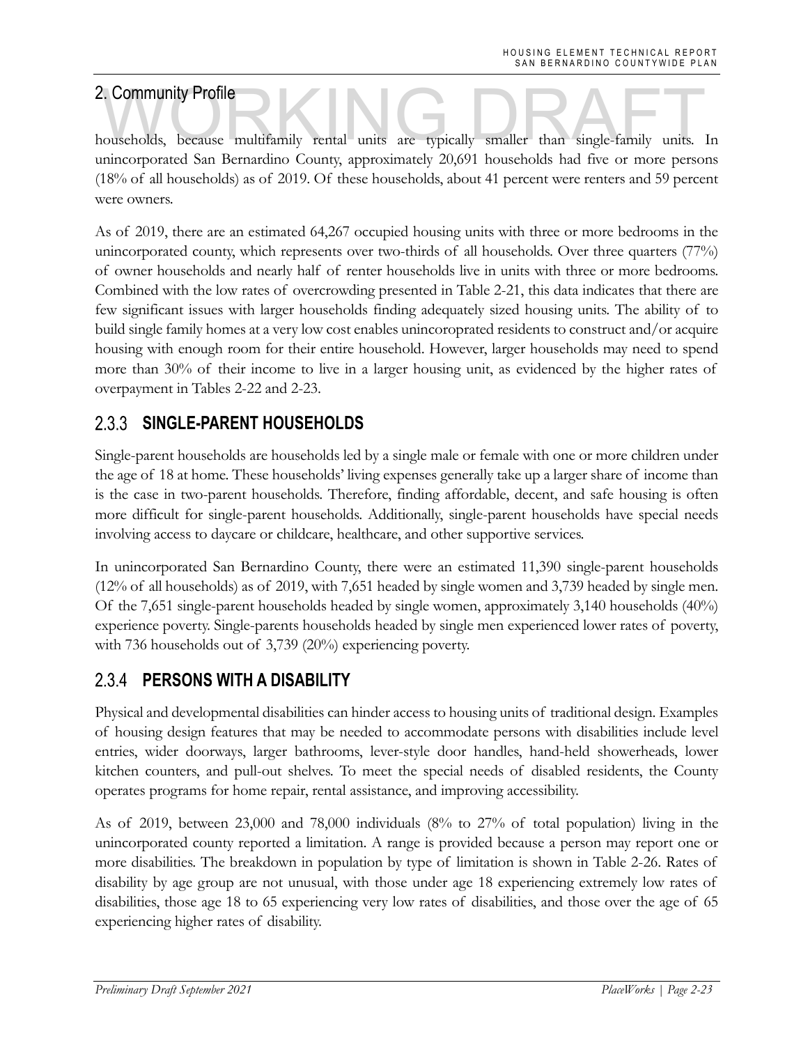2. Community Profile<br>households, because multifamily rental units are typically smaller than single-family units. In unincorporated San Bernardino County, approximately 20,691 households had five or more persons (18% of all households) as of 2019. Of these households, about 41 percent were renters and 59 percent were owners.

As of 2019, there are an estimated 64,267 occupied housing units with three or more bedrooms in the unincorporated county, which represents over two-thirds of all households. Over three quarters (77%) of owner households and nearly half of renter households live in units with three or more bedrooms. Combined with the low rates of overcrowding presented in Table 2-21, this data indicates that there are few significant issues with larger households finding adequately sized housing units. The ability of to build single family homes at a very low cost enables unincoroprated residents to construct and/or acquire housing with enough room for their entire household. However, larger households may need to spend more than 30% of their income to live in a larger housing unit, as evidenced by the higher rates of overpayment in Tables 2-22 and 2-23.

### 2.3.3 **SINGLE-PARENT HOUSEHOLDS**

Single-parent households are households led by a single male or female with one or more children under the age of 18 at home. These households' living expenses generally take up a larger share of income than is the case in two-parent households. Therefore, finding affordable, decent, and safe housing is often more difficult for single-parent households. Additionally, single-parent households have special needs involving access to daycare or childcare, healthcare, and other supportive services.

In unincorporated San Bernardino County, there were an estimated 11,390 single-parent households (12% of all households) as of 2019, with 7,651 headed by single women and 3,739 headed by single men. Of the 7,651 single-parent households headed by single women, approximately 3,140 households (40%) experience poverty. Single-parents households headed by single men experienced lower rates of poverty, with 736 households out of 3,739 (20%) experiencing poverty.

### **PERSONS WITH A DISABILITY**   $2.3.4$

Physical and developmental disabilities can hinder access to housing units of traditional design. Examples of housing design features that may be needed to accommodate persons with disabilities include level entries, wider doorways, larger bathrooms, lever-style door handles, hand-held showerheads, lower kitchen counters, and pull-out shelves. To meet the special needs of disabled residents, the County operates programs for home repair, rental assistance, and improving accessibility.

As of 2019, between 23,000 and 78,000 individuals (8% to 27% of total population) living in the unincorporated county reported a limitation. A range is provided because a person may report one or more disabilities. The breakdown in population by type of limitation is shown in Table 2-26. Rates of disability by age group are not unusual, with those under age 18 experiencing extremely low rates of disabilities, those age 18 to 65 experiencing very low rates of disabilities, and those over the age of 65 experiencing higher rates of disability.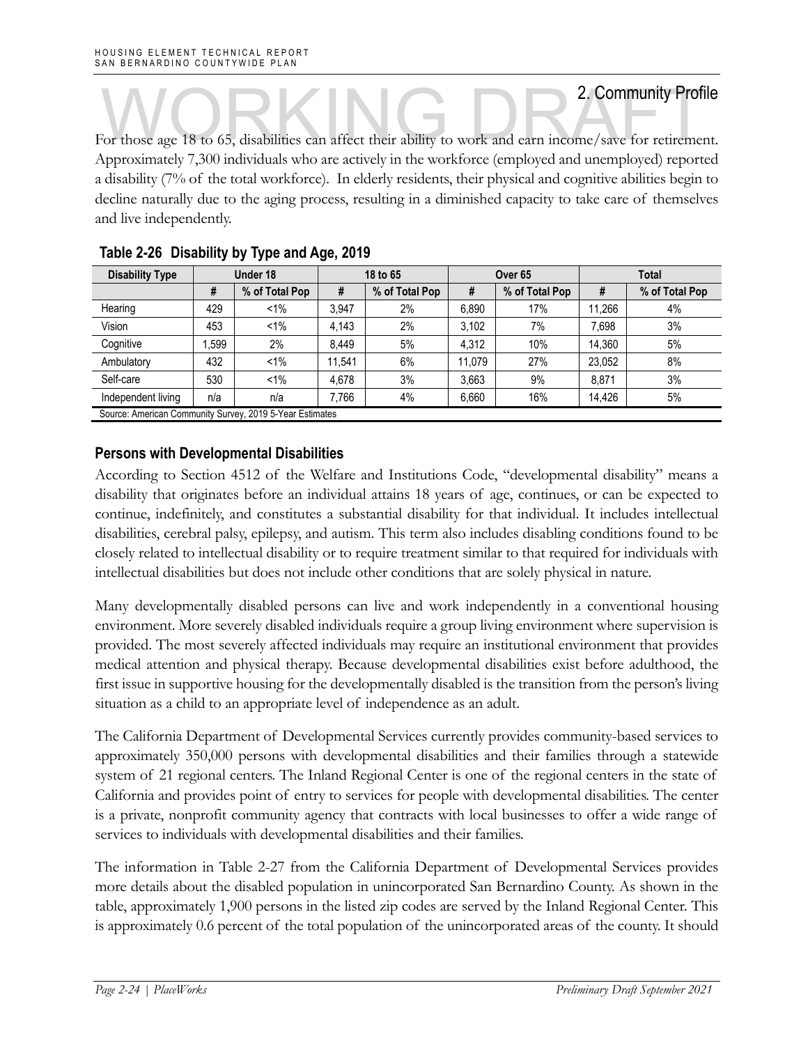For those age 18 to 65, disabilities can affect their ability to work and earn income/save for retirement. Approximately 7,300 individuals who are actively in the workforce (employed and unemployed) reported a disability (7% of the total workforce). In elderly residents, their physical and cognitive abilities begin to decline naturally due to the aging process, resulting in a diminished capacity to take care of themselves and live independently.

| <b>Disability Type</b>                                   |       | Under 18       |        | 18 to 65       |        | Over 65        |        | Total          |  |
|----------------------------------------------------------|-------|----------------|--------|----------------|--------|----------------|--------|----------------|--|
|                                                          | #     | % of Total Pop | #      | % of Total Pop | #      | % of Total Pop | #      | % of Total Pop |  |
| Hearing                                                  | 429   | $1\%$          | 3.947  | 2%             | 6.890  | 17%            | 11.266 | 4%             |  |
| Vision                                                   | 453   | $1\%$          | 4,143  | 2%             | 3.102  | 7%             | 7.698  | 3%             |  |
| Cognitive                                                | 1.599 | 2%             | 8.449  | 5%             | 4.312  | 10%            | 14.360 | 5%             |  |
| Ambulatory                                               | 432   | $1\%$          | 11.541 | 6%             | 11.079 | 27%            | 23.052 | 8%             |  |
| Self-care                                                | 530   | $1\%$          | 4.678  | 3%             | 3.663  | 9%             | 8.871  | 3%             |  |
| Independent living                                       | n/a   | n/a            | 7.766  | 4%             | 6.660  | 16%            | 14,426 | 5%             |  |
| Source: American Community Survey, 2019 5-Year Estimates |       |                |        |                |        |                |        |                |  |

### **Table 2-26 Disability by Type and Age, 2019**

**Persons with Developmental Disabilities** 

According to Section 4512 of the Welfare and Institutions Code, "developmental disability" means a disability that originates before an individual attains 18 years of age, continues, or can be expected to continue, indefinitely, and constitutes a substantial disability for that individual. It includes intellectual disabilities, cerebral palsy, epilepsy, and autism. This term also includes disabling conditions found to be closely related to intellectual disability or to require treatment similar to that required for individuals with intellectual disabilities but does not include other conditions that are solely physical in nature.

Many developmentally disabled persons can live and work independently in a conventional housing environment. More severely disabled individuals require a group living environment where supervision is provided. The most severely affected individuals may require an institutional environment that provides medical attention and physical therapy. Because developmental disabilities exist before adulthood, the first issue in supportive housing for the developmentally disabled is the transition from the person's living situation as a child to an appropriate level of independence as an adult.

The California Department of Developmental Services currently provides community-based services to approximately 350,000 persons with developmental disabilities and their families through a statewide system of 21 regional centers. The Inland Regional Center is one of the regional centers in the state of California and provides point of entry to services for people with developmental disabilities. The center is a private, nonprofit community agency that contracts with local businesses to offer a wide range of services to individuals with developmental disabilities and their families.

The information in Table 2-27 from the California Department of Developmental Services provides more details about the disabled population in unincorporated San Bernardino County. As shown in the table, approximately 1,900 persons in the listed zip codes are served by the Inland Regional Center. This is approximately 0.6 percent of the total population of the unincorporated areas of the county. It should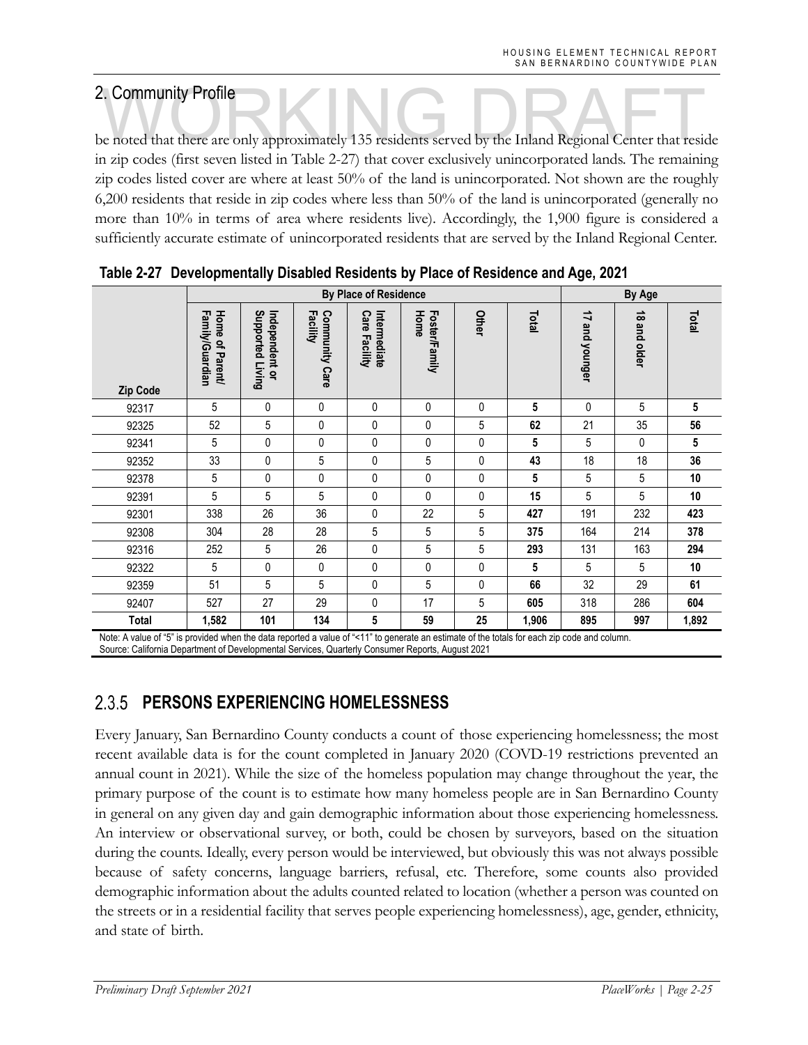2. Community Profile<br>be noted that there are only approximately 135 residents served by the Inland Regional Center that reside in zip codes (first seven listed in Table 2-27) that cover exclusively unincorporated lands. The remaining zip codes listed cover are where at least 50% of the land is unincorporated. Not shown are the roughly 6,200 residents that reside in zip codes where less than 50% of the land is unincorporated (generally no more than 10% in terms of area where residents live). Accordingly, the 1,900 figure is considered a sufficiently accurate estimate of unincorporated residents that are served by the Inland Regional Center.

|                                   |                                    |                                    |                                   | <b>By Place of Residence</b>  |                       |       |       |                                                      | <b>By Age</b>          |              |
|-----------------------------------|------------------------------------|------------------------------------|-----------------------------------|-------------------------------|-----------------------|-------|-------|------------------------------------------------------|------------------------|--------------|
| <b>Zip Code</b>                   | Family/Guardian<br>Home of Parent/ | Independent or<br>Supported Living | Facility<br><b>Community Care</b> | Intermediate<br>Care Facility | Home<br>Foster/Family | Other | Total | $\overrightarrow{u}$<br>and<br><b><i>Nounger</i></b> | $\vec{a}$<br>and older | <b>Total</b> |
| 92317                             | 5                                  | 0                                  | 0                                 | 0                             | 0                     | 0     | 5     | 0                                                    | 5                      | 5            |
| 92325                             | 52                                 | 5                                  | 0                                 | 0                             | 0                     | 5     | 62    | 21                                                   | 35                     | 56           |
| 92341                             | 5                                  | 0                                  | 0                                 | 0                             | 0                     | 0     | 5     | 5                                                    | $\mathbf{0}$           | 5            |
| 92352                             | 33                                 | 0                                  | 5                                 | 0                             | 5                     | 0     | 43    | 18                                                   | 18                     | 36           |
| 92378                             | 5                                  | 0                                  | 0                                 | 0                             | $\pmb{0}$             | 0     | 5     | 5                                                    | 5                      | 10           |
| 92391                             | 5                                  | 5                                  | 5                                 | 0                             | 0                     | 0     | 15    | 5                                                    | 5                      | 10           |
| 92301                             | 338                                | 26                                 | 36                                | 0                             | 22                    | 5     | 427   | 191                                                  | 232                    | 423          |
| 92308                             | 304                                | 28                                 | 28                                | 5                             | $5\,$                 | 5     | 375   | 164                                                  | 214                    | 378          |
| 92316                             | 252                                | 5                                  | 26                                | 0                             | 5                     | 5     | 293   | 131                                                  | 163                    | 294          |
| 92322                             | 5                                  | 0                                  | 0                                 | 0                             | 0                     | 0     | 5     | 5                                                    | 5                      | 10           |
| 92359                             | 51                                 | 5                                  | 5                                 | 0                             | 5                     | 0     | 66    | 32                                                   | 29                     | 61           |
| 92407                             | 527                                | 27                                 | 29                                | 0                             | 17                    | 5     | 605   | 318                                                  | 286                    | 604          |
| <b>Total</b><br>$\cdots$<br>2.979 | 1,582                              | 101<br>$\cdots$                    | 134                               | 5<br><b>CH . A A W 4</b>      | 59<br>$\cdots$        | 25    | 1,906 | 895                                                  | 997                    | 1,892        |

|  |  |  | Table 2-27 Developmentally Disabled Residents by Place of Residence and Age, 2021 |  |
|--|--|--|-----------------------------------------------------------------------------------|--|
|--|--|--|-----------------------------------------------------------------------------------|--|

Note: A value of "5" is provided when the data reported a value of "<11" to generate an estimate of the totals for each zip code and column. Source: California Department of Developmental Services, Quarterly Consumer Reports, August 2021

### **PERSONS EXPERIENCING HOMELESSNESS**  2.3.5

Every January, San Bernardino County conducts a count of those experiencing homelessness; the most recent available data is for the count completed in January 2020 (COVD-19 restrictions prevented an annual count in 2021). While the size of the homeless population may change throughout the year, the primary purpose of the count is to estimate how many homeless people are in San Bernardino County in general on any given day and gain demographic information about those experiencing homelessness. An interview or observational survey, or both, could be chosen by surveyors, based on the situation during the counts. Ideally, every person would be interviewed, but obviously this was not always possible because of safety concerns, language barriers, refusal, etc. Therefore, some counts also provided demographic information about the adults counted related to location (whether a person was counted on the streets or in a residential facility that serves people experiencing homelessness), age, gender, ethnicity, and state of birth.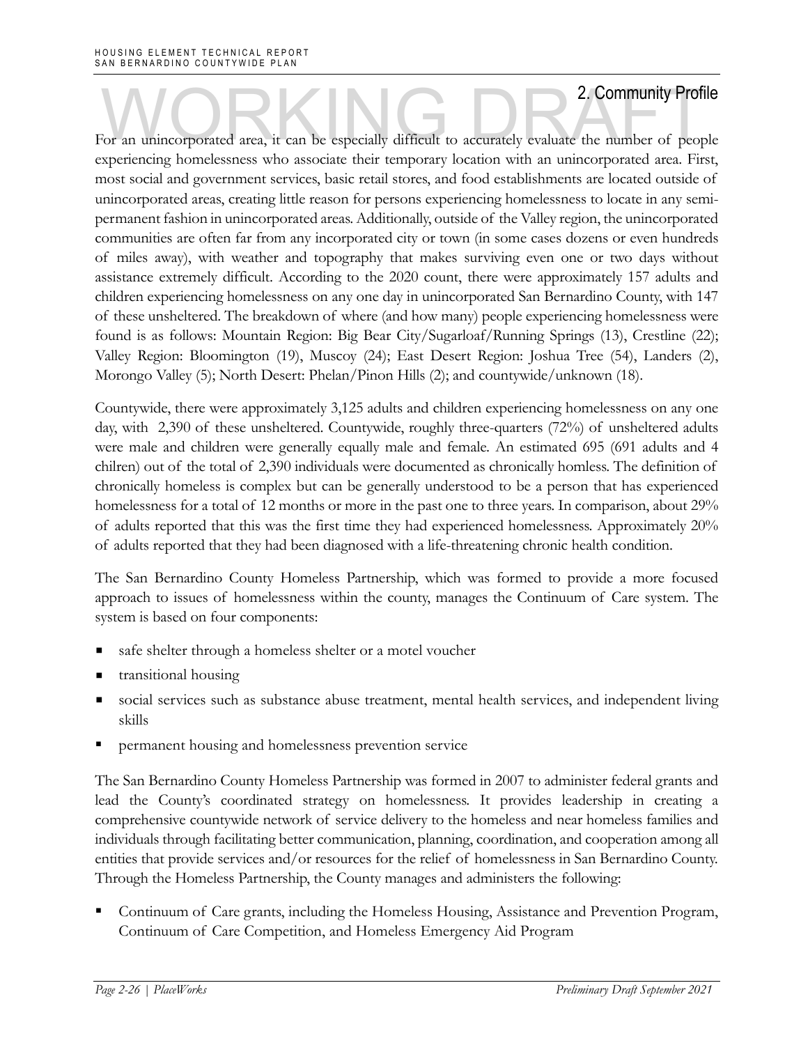For an unincorporated area, it can be especially difficult to accurately evaluate the number of people experiencing homelessness who associate their temporary location with an unincorporated area. First, most social and government services, basic retail stores, and food establishments are located outside of unincorporated areas, creating little reason for persons experiencing homelessness to locate in any semipermanent fashion in unincorporated areas. Additionally, outside of the Valley region, the unincorporated communities are often far from any incorporated city or town (in some cases dozens or even hundreds of miles away), with weather and topography that makes surviving even one or two days without assistance extremely difficult. According to the 2020 count, there were approximately 157 adults and children experiencing homelessness on any one day in unincorporated San Bernardino County, with 147 of these unsheltered. The breakdown of where (and how many) people experiencing homelessness were found is as follows: Mountain Region: Big Bear City/Sugarloaf/Running Springs (13), Crestline (22); Valley Region: Bloomington (19), Muscoy (24); East Desert Region: Joshua Tree (54), Landers (2), Morongo Valley (5); North Desert: Phelan/Pinon Hills (2); and countywide/unknown (18).

Countywide, there were approximately 3,125 adults and children experiencing homelessness on any one day, with 2,390 of these unsheltered. Countywide, roughly three-quarters (72%) of unsheltered adults were male and children were generally equally male and female. An estimated 695 (691 adults and 4 chilren) out of the total of 2,390 individuals were documented as chronically homless. The definition of chronically homeless is complex but can be generally understood to be a person that has experienced homelessness for a total of 12 months or more in the past one to three years. In comparison, about 29% of adults reported that this was the first time they had experienced homelessness. Approximately 20% of adults reported that they had been diagnosed with a life-threatening chronic health condition.

The San Bernardino County Homeless Partnership, which was formed to provide a more focused approach to issues of homelessness within the county, manages the Continuum of Care system. The system is based on four components:

- safe shelter through a homeless shelter or a motel voucher
- transitional housing
- social services such as substance abuse treatment, mental health services, and independent living skills
- permanent housing and homelessness prevention service

The San Bernardino County Homeless Partnership was formed in 2007 to administer federal grants and lead the County's coordinated strategy on homelessness. It provides leadership in creating a comprehensive countywide network of service delivery to the homeless and near homeless families and individuals through facilitating better communication, planning, coordination, and cooperation among all entities that provide services and/or resources for the relief of homelessness in San Bernardino County. Through the Homeless Partnership, the County manages and administers the following:

 Continuum of Care grants, including the Homeless Housing, Assistance and Prevention Program, Continuum of Care Competition, and Homeless Emergency Aid Program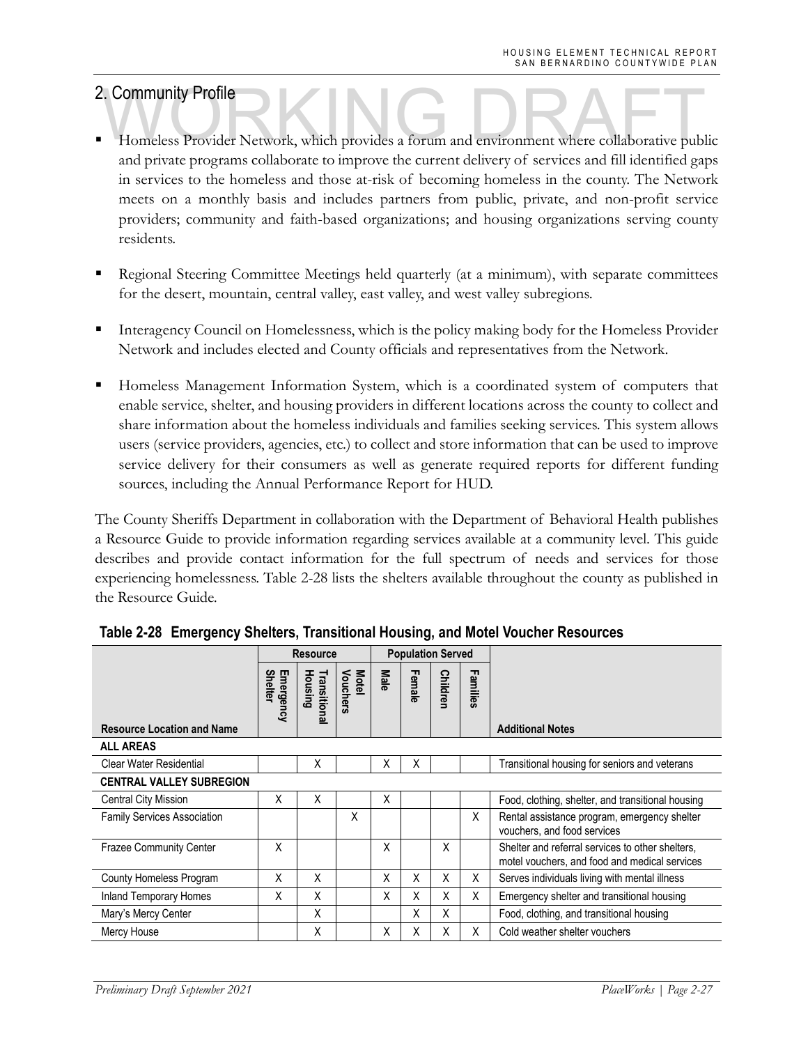- 2. Community Profile<br>
Homeless Provider Network, which provides a forum and environment where collaborative public and private programs collaborate to improve the current delivery of services and fill identified gaps in services to the homeless and those at-risk of becoming homeless in the county. The Network meets on a monthly basis and includes partners from public, private, and non-profit service providers; community and faith-based organizations; and housing organizations serving county residents.
- Regional Steering Committee Meetings held quarterly (at a minimum), with separate committees for the desert, mountain, central valley, east valley, and west valley subregions.
- Interagency Council on Homelessness, which is the policy making body for the Homeless Provider Network and includes elected and County officials and representatives from the Network.
- Homeless Management Information System, which is a coordinated system of computers that enable service, shelter, and housing providers in different locations across the county to collect and share information about the homeless individuals and families seeking services. This system allows users (service providers, agencies, etc.) to collect and store information that can be used to improve service delivery for their consumers as well as generate required reports for different funding sources, including the Annual Performance Report for HUD.

The County Sheriffs Department in collaboration with the Department of Behavioral Health publishes a Resource Guide to provide information regarding services available at a community level. This guide describes and provide contact information for the full spectrum of needs and services for those experiencing homelessness. Table 2-28 lists the shelters available throughout the county as published in the Resource Guide.

|                                    |                             | <b>Resource</b>         |                   |             | <b>Population Served</b> |          |          |                                                                                                   |
|------------------------------------|-----------------------------|-------------------------|-------------------|-------------|--------------------------|----------|----------|---------------------------------------------------------------------------------------------------|
| <b>Resource Location and Name</b>  | <b>Shelter</b><br>Emergency | Housing<br>Transitional | Motel<br>Vouchers | <b>Male</b> | Female                   | Children | Families | <b>Additional Notes</b>                                                                           |
| <b>ALL AREAS</b>                   |                             |                         |                   |             |                          |          |          |                                                                                                   |
| <b>Clear Water Residential</b>     |                             | X                       |                   | X           | X                        |          |          | Transitional housing for seniors and veterans                                                     |
| <b>CENTRAL VALLEY SUBREGION</b>    |                             |                         |                   |             |                          |          |          |                                                                                                   |
| <b>Central City Mission</b>        | Χ                           | x                       |                   | X           |                          |          |          | Food, clothing, shelter, and transitional housing                                                 |
| <b>Family Services Association</b> |                             |                         | X                 |             |                          |          | X        | Rental assistance program, emergency shelter<br>vouchers, and food services                       |
| <b>Frazee Community Center</b>     | Χ                           |                         |                   | X           |                          | X        |          | Shelter and referral services to other shelters.<br>motel vouchers, and food and medical services |
| County Homeless Program            | X                           | X                       |                   | X           | Χ                        | Χ        | X        | Serves individuals living with mental illness                                                     |
| <b>Inland Temporary Homes</b>      | Χ                           | Χ                       |                   | X           | Χ                        | X        | X        | Emergency shelter and transitional housing                                                        |
| Mary's Mercy Center                |                             | X                       |                   |             | Χ                        | Χ        |          | Food, clothing, and transitional housing                                                          |
| Mercy House                        |                             | X                       |                   | X           | X                        | X        | X        | Cold weather shelter vouchers                                                                     |

**Table 2-28 Emergency Shelters, Transitional Housing, and Motel Voucher Resources**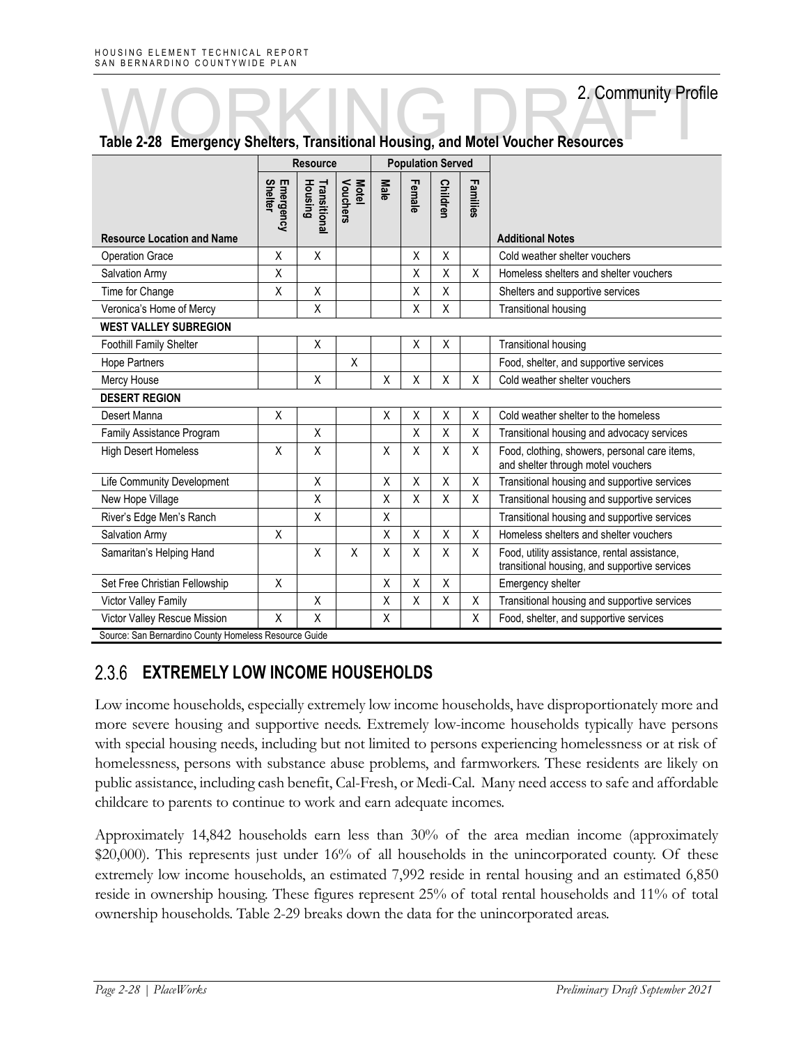|                                                       |                      | <b>Resource</b>         |                          | <b>Population Served</b> |        |                 |          |                                                                                               |  |
|-------------------------------------------------------|----------------------|-------------------------|--------------------------|--------------------------|--------|-----------------|----------|-----------------------------------------------------------------------------------------------|--|
| <b>Resource Location and Name</b>                     | Emergency<br>Shelter | Housing<br>Transitional | Vouchers<br><b>Motel</b> | Male                     | Female | <b>Children</b> | Families | <b>Additional Notes</b>                                                                       |  |
| <b>Operation Grace</b>                                | X                    | X                       |                          |                          | X      | X               |          | Cold weather shelter vouchers                                                                 |  |
| Salvation Army                                        | Χ                    |                         |                          |                          | Χ      | Χ               | X        | Homeless shelters and shelter vouchers                                                        |  |
| Time for Change                                       | X                    | X                       |                          |                          | X      | X               |          | Shelters and supportive services                                                              |  |
| Veronica's Home of Mercy                              |                      | Χ                       |                          |                          | Χ      | Χ               |          | <b>Transitional housing</b>                                                                   |  |
| <b>WEST VALLEY SUBREGION</b>                          |                      |                         |                          |                          |        |                 |          |                                                                                               |  |
| <b>Foothill Family Shelter</b>                        |                      | X                       |                          |                          | Χ      | Χ               |          | <b>Transitional housing</b>                                                                   |  |
| <b>Hope Partners</b>                                  |                      |                         | X                        |                          |        |                 |          | Food, shelter, and supportive services                                                        |  |
| Mercy House                                           |                      | $\sf X$                 |                          | Χ                        | X      | Χ               | Χ        | Cold weather shelter vouchers                                                                 |  |
| <b>DESERT REGION</b>                                  |                      |                         |                          |                          |        |                 |          |                                                                                               |  |
| Desert Manna                                          | X                    |                         |                          | Χ                        | Χ      | Χ               | Χ        | Cold weather shelter to the homeless                                                          |  |
| Family Assistance Program                             |                      | X                       |                          |                          | X      | X               | X        | Transitional housing and advocacy services                                                    |  |
| <b>High Desert Homeless</b>                           | X                    | X                       |                          | Χ                        | Χ      | Χ               | X        | Food, clothing, showers, personal care items,<br>and shelter through motel vouchers           |  |
| Life Community Development                            |                      | Χ                       |                          | Χ                        | Χ      | Χ               | Χ        | Transitional housing and supportive services                                                  |  |
| New Hope Village                                      |                      | X                       |                          | X                        | X      | X               | X        | Transitional housing and supportive services                                                  |  |
| River's Edge Men's Ranch                              |                      | X                       |                          | Χ                        |        |                 |          | Transitional housing and supportive services                                                  |  |
| Salvation Army                                        | X                    |                         |                          | Χ                        | Χ      | Χ               | Χ        | Homeless shelters and shelter vouchers                                                        |  |
| Samaritan's Helping Hand                              |                      | $\sf X$                 | X                        | X                        | X      | Χ               | X        | Food, utility assistance, rental assistance,<br>transitional housing, and supportive services |  |
| Set Free Christian Fellowship                         | X                    |                         |                          | X                        | X      | X               |          | Emergency shelter                                                                             |  |
| Victor Valley Family                                  |                      | X                       |                          | X                        | X      | X               | Χ        | Transitional housing and supportive services                                                  |  |
| Victor Valley Rescue Mission                          | X                    | X                       |                          | X                        |        |                 | X        | Food, shelter, and supportive services                                                        |  |
| Source: San Bernardino County Homeless Resource Guide |                      |                         |                          |                          |        |                 |          |                                                                                               |  |

# Table 2-28 Emergency Shelters, Transitional Housing, and Motel Voucher Resources

 $2.3.6$ **EXTREMELY LOW INCOME HOUSEHOLDS** 

Low income households, especially extremely low income households, have disproportionately more and more severe housing and supportive needs. Extremely low-income households typically have persons with special housing needs, including but not limited to persons experiencing homelessness or at risk of homelessness, persons with substance abuse problems, and farmworkers. These residents are likely on public assistance, including cash benefit, Cal-Fresh, or Medi-Cal. Many need access to safe and affordable childcare to parents to continue to work and earn adequate incomes.

Approximately 14,842 households earn less than 30% of the area median income (approximately \$20,000). This represents just under 16% of all households in the unincorporated county. Of these extremely low income households, an estimated 7,992 reside in rental housing and an estimated 6,850 reside in ownership housing. These figures represent 25% of total rental households and 11% of total ownership households. Table 2-29 breaks down the data for the unincorporated areas.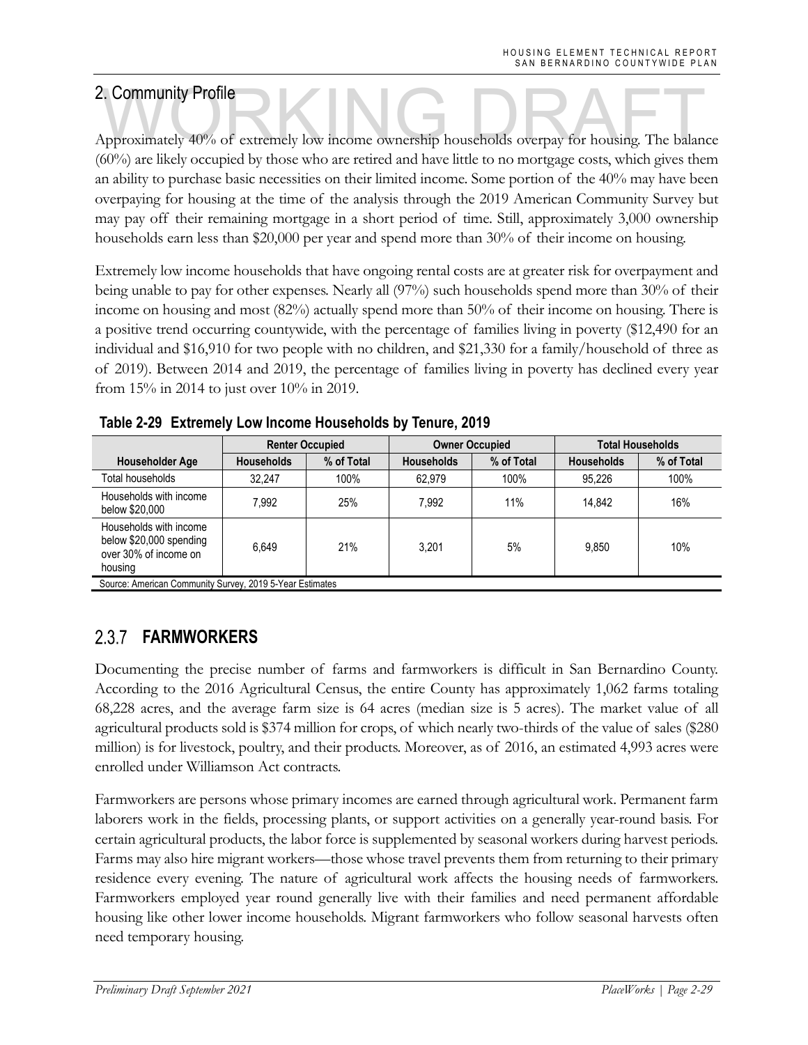2. Community Profile<br>Approximately 40% of extremely low income ownership households overpay for housing. The balance (60%) are likely occupied by those who are retired and have little to no mortgage costs, which gives them an ability to purchase basic necessities on their limited income. Some portion of the 40% may have been overpaying for housing at the time of the analysis through the 2019 American Community Survey but may pay off their remaining mortgage in a short period of time. Still, approximately 3,000 ownership households earn less than \$20,000 per year and spend more than 30% of their income on housing.

Extremely low income households that have ongoing rental costs are at greater risk for overpayment and being unable to pay for other expenses. Nearly all (97%) such households spend more than 30% of their income on housing and most (82%) actually spend more than 50% of their income on housing. There is a positive trend occurring countywide, with the percentage of families living in poverty (\$12,490 for an individual and \$16,910 for two people with no children, and \$21,330 for a family/household of three as of 2019). Between 2014 and 2019, the percentage of families living in poverty has declined every year from 15% in 2014 to just over 10% in 2019.

|                                                                                       | <b>Renter Occupied</b> |            |                   | <b>Owner Occupied</b> | <b>Total Households</b> |            |  |
|---------------------------------------------------------------------------------------|------------------------|------------|-------------------|-----------------------|-------------------------|------------|--|
| Householder Age                                                                       | <b>Households</b>      | % of Total | <b>Households</b> | % of Total            | <b>Households</b>       | % of Total |  |
| Total households                                                                      | 32.247                 | 100%       | 62.979            | 100%                  | 95.226                  | 100%       |  |
| Households with income<br>below \$20,000                                              | 7.992                  | 25%        | 7.992             | 11%                   | 14.842                  | 16%        |  |
| Households with income<br>below \$20,000 spending<br>over 30% of income on<br>housing | 6.649                  | 21%        | 3.201             | 5%                    | 9.850                   | 10%        |  |
| Source: American Community Survey, 2019 5-Year Estimates                              |                        |            |                   |                       |                         |            |  |

**Table 2-29 Extremely Low Income Households by Tenure, 2019** 

Source: American Community Survey, 2019 5-Year Estimates

### **FARMWORKERS**   $2.3.7$

Documenting the precise number of farms and farmworkers is difficult in San Bernardino County. According to the 2016 Agricultural Census, the entire County has approximately 1,062 farms totaling 68,228 acres, and the average farm size is 64 acres (median size is 5 acres). The market value of all agricultural products sold is \$374 million for crops, of which nearly two-thirds of the value of sales (\$280 million) is for livestock, poultry, and their products. Moreover, as of 2016, an estimated 4,993 acres were enrolled under Williamson Act contracts.

Farmworkers are persons whose primary incomes are earned through agricultural work. Permanent farm laborers work in the fields, processing plants, or support activities on a generally year-round basis. For certain agricultural products, the labor force is supplemented by seasonal workers during harvest periods. Farms may also hire migrant workers—those whose travel prevents them from returning to their primary residence every evening. The nature of agricultural work affects the housing needs of farmworkers. Farmworkers employed year round generally live with their families and need permanent affordable housing like other lower income households. Migrant farmworkers who follow seasonal harvests often need temporary housing.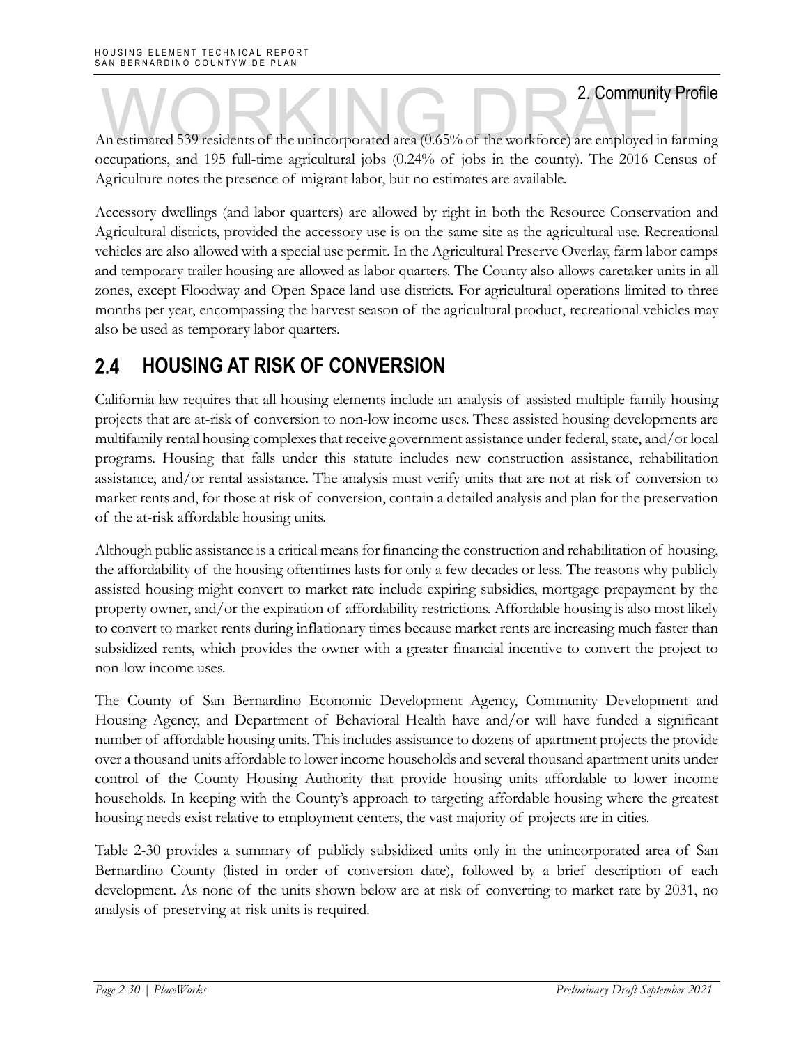An estimated 539 residents of the unincorporated area (0.65% of the workforce) are employed in farming occupations, and 195 full-time agricultural jobs (0.24% of jobs in the county). The 2016 Census of Agriculture notes the presence of migrant labor, but no estimates are available.

Accessory dwellings (and labor quarters) are allowed by right in both the Resource Conservation and Agricultural districts, provided the accessory use is on the same site as the agricultural use. Recreational vehicles are also allowed with a special use permit. In the Agricultural Preserve Overlay, farm labor camps and temporary trailer housing are allowed as labor quarters. The County also allows caretaker units in all zones, except Floodway and Open Space land use districts. For agricultural operations limited to three months per year, encompassing the harvest season of the agricultural product, recreational vehicles may also be used as temporary labor quarters.

### $2.4$ **HOUSING AT RISK OF CONVERSION**

California law requires that all housing elements include an analysis of assisted multiple-family housing projects that are at-risk of conversion to non-low income uses. These assisted housing developments are multifamily rental housing complexes that receive government assistance under federal, state, and/or local programs. Housing that falls under this statute includes new construction assistance, rehabilitation assistance, and/or rental assistance. The analysis must verify units that are not at risk of conversion to market rents and, for those at risk of conversion, contain a detailed analysis and plan for the preservation of the at-risk affordable housing units.

Although public assistance is a critical means for financing the construction and rehabilitation of housing, the affordability of the housing oftentimes lasts for only a few decades or less. The reasons why publicly assisted housing might convert to market rate include expiring subsidies, mortgage prepayment by the property owner, and/or the expiration of affordability restrictions. Affordable housing is also most likely to convert to market rents during inflationary times because market rents are increasing much faster than subsidized rents, which provides the owner with a greater financial incentive to convert the project to non-low income uses.

The County of San Bernardino Economic Development Agency, Community Development and Housing Agency, and Department of Behavioral Health have and/or will have funded a significant number of affordable housing units. This includes assistance to dozens of apartment projects the provide over a thousand units affordable to lower income households and several thousand apartment units under control of the County Housing Authority that provide housing units affordable to lower income households. In keeping with the County's approach to targeting affordable housing where the greatest housing needs exist relative to employment centers, the vast majority of projects are in cities.

Table 2-30 provides a summary of publicly subsidized units only in the unincorporated area of San Bernardino County (listed in order of conversion date), followed by a brief description of each development. As none of the units shown below are at risk of converting to market rate by 2031, no analysis of preserving at-risk units is required.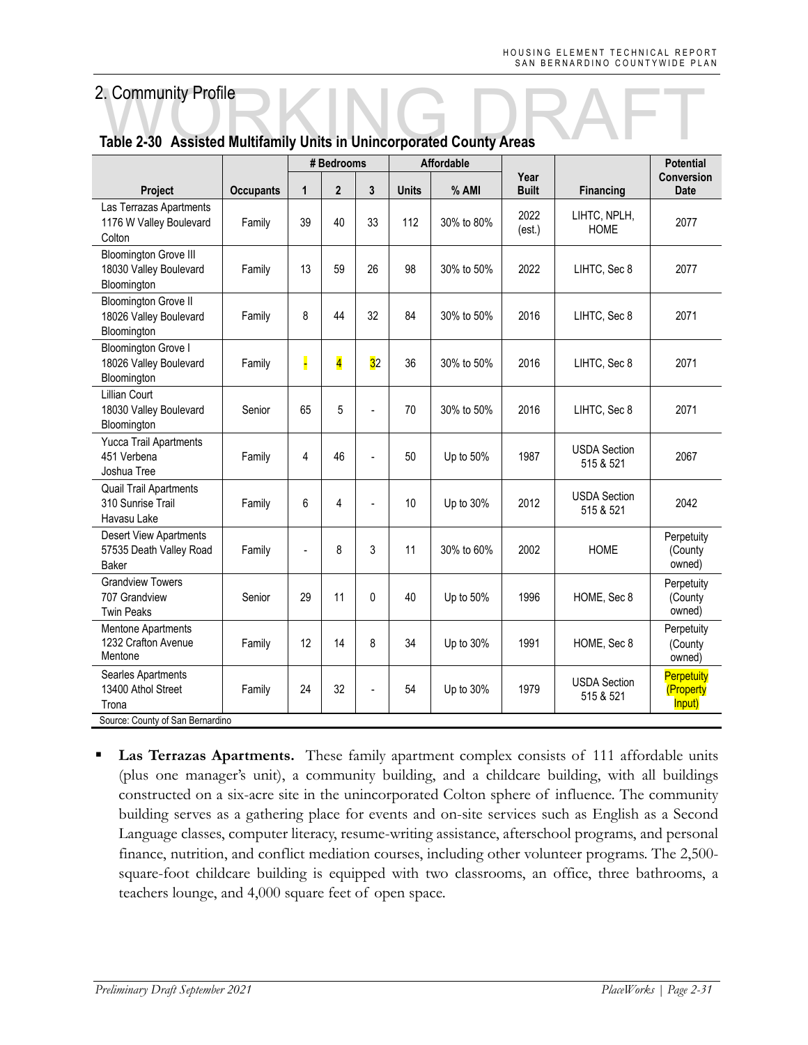|                                                                          |                  | # Bedrooms<br><b>Affordable</b> |                         |                |              |            |                      | <b>Potential</b>                 |                                          |
|--------------------------------------------------------------------------|------------------|---------------------------------|-------------------------|----------------|--------------|------------|----------------------|----------------------------------|------------------------------------------|
| <b>Project</b>                                                           | <b>Occupants</b> | $\mathbf{1}$                    | $\overline{2}$          | 3              | <b>Units</b> | % AMI      | Year<br><b>Built</b> | <b>Financing</b>                 | <b>Conversion</b><br><b>Date</b>         |
| Las Terrazas Apartments<br>1176 W Valley Boulevard<br>Colton             | Family           | 39                              | 40                      | 33             | 112          | 30% to 80% | 2022<br>(est.)       | LIHTC, NPLH,<br><b>HOME</b>      | 2077                                     |
| <b>Bloomington Grove III</b><br>18030 Valley Boulevard<br>Bloomington    | Family           | 13                              | 59                      | 26             | 98           | 30% to 50% | 2022                 | LIHTC, Sec 8                     | 2077                                     |
| <b>Bloomington Grove II</b><br>18026 Valley Boulevard<br>Bloomington     | Family           | 8                               | 44                      | 32             | 84           | 30% to 50% | 2016                 | LIHTC, Sec 8                     | 2071                                     |
| <b>Bloomington Grove I</b><br>18026 Valley Boulevard<br>Bloomington      | Family           |                                 | $\overline{\mathbf{4}}$ | 32             | 36           | 30% to 50% | 2016                 | LIHTC, Sec 8                     | 2071                                     |
| Lillian Court<br>18030 Valley Boulevard<br>Bloomington                   | Senior           | 65                              | 5                       | $\overline{a}$ | 70           | 30% to 50% | 2016                 | LIHTC, Sec 8                     | 2071                                     |
| Yucca Trail Apartments<br>451 Verbena<br>Joshua Tree                     | Family           | 4                               | 46                      | $\overline{a}$ | 50           | Up to 50%  | 1987                 | <b>USDA Section</b><br>515 & 521 | 2067                                     |
| <b>Quail Trail Apartments</b><br>310 Sunrise Trail<br>Havasu Lake        | Family           | 6                               | 4                       |                | 10           | Up to 30%  | 2012                 | <b>USDA Section</b><br>515 & 521 | 2042                                     |
| <b>Desert View Apartments</b><br>57535 Death Valley Road<br><b>Baker</b> | Family           | $\overline{a}$                  | 8                       | 3              | 11           | 30% to 60% | 2002                 | <b>HOME</b>                      | Perpetuity<br>(County<br>owned)          |
| <b>Grandview Towers</b><br>707 Grandview<br><b>Twin Peaks</b>            | Senior           | 29                              | 11                      | $\mathbf{0}$   | 40           | Up to 50%  | 1996                 | HOME, Sec 8                      | Perpetuity<br>(County<br>owned)          |
| Mentone Apartments<br>1232 Crafton Avenue<br>Mentone                     | Family           | 12                              | 14                      | 8              | 34           | Up to 30%  | 1991                 | HOME, Sec 8                      | Perpetuity<br>(County<br>owned)          |
| Searles Apartments<br>13400 Athol Street<br>Trona                        | Family           | 24                              | 32                      |                | 54           | Up to 30%  | 1979                 | <b>USDA Section</b><br>515 & 521 | <b>Perpetuity</b><br>(Property<br>Input) |
| Source: County of San Bernardino                                         |                  |                                 |                         |                |              |            |                      |                                  |                                          |

# **Table 2-30 Assisted Multifamily Units in Unincorporated County Areas**

 **Las Terrazas Apartments.** These family apartment complex consists of 111 affordable units (plus one manager's unit), a community building, and a childcare building, with all buildings constructed on a six-acre site in the unincorporated Colton sphere of influence. The community building serves as a gathering place for events and on-site services such as English as a Second Language classes, computer literacy, resume-writing assistance, afterschool programs, and personal finance, nutrition, and conflict mediation courses, including other volunteer programs. The 2,500 square-foot childcare building is equipped with two classrooms, an office, three bathrooms, a teachers lounge, and 4,000 square feet of open space.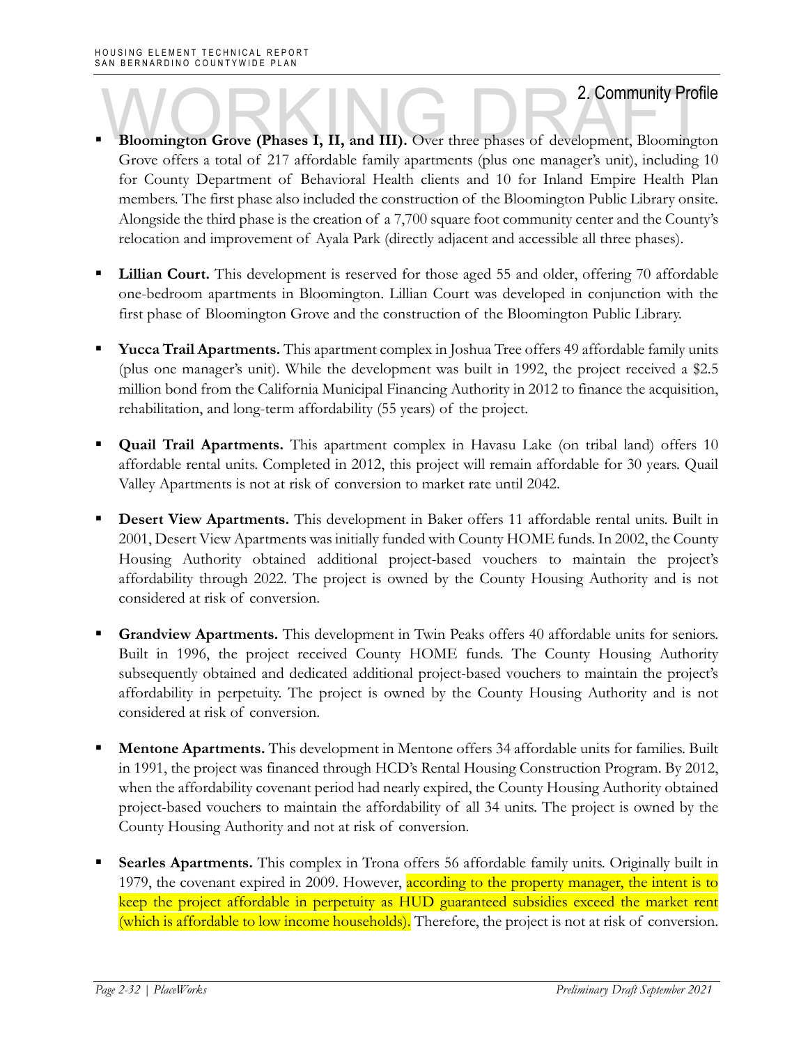- **Bloomington Grove (Phases I, II, and III).** Over three phases of development, Bloomington Grove offers a total of 217 affordable family apartments (plus one manager's unit), including 10 for County Department of Behavioral Health clients and 10 for Inland Empire Health Plan members. The first phase also included the construction of the Bloomington Public Library onsite. Alongside the third phase is the creation of a 7,700 square foot community center and the County's relocation and improvement of Ayala Park (directly adjacent and accessible all three phases).
- **Lillian Court.** This development is reserved for those aged 55 and older, offering 70 affordable one-bedroom apartments in Bloomington. Lillian Court was developed in conjunction with the first phase of Bloomington Grove and the construction of the Bloomington Public Library.
- **Yucca Trail Apartments.** This apartment complex in Joshua Tree offers 49 affordable family units (plus one manager's unit). While the development was built in 1992, the project received a \$2.5 million bond from the California Municipal Financing Authority in 2012 to finance the acquisition, rehabilitation, and long-term affordability (55 years) of the project.
- **Quail Trail Apartments.** This apartment complex in Havasu Lake (on tribal land) offers 10 affordable rental units. Completed in 2012, this project will remain affordable for 30 years. Quail Valley Apartments is not at risk of conversion to market rate until 2042.
- **Desert View Apartments.** This development in Baker offers 11 affordable rental units. Built in 2001, Desert View Apartments was initially funded with County HOME funds. In 2002, the County Housing Authority obtained additional project-based vouchers to maintain the project's affordability through 2022. The project is owned by the County Housing Authority and is not considered at risk of conversion.
- **Grandview Apartments.** This development in Twin Peaks offers 40 affordable units for seniors. Built in 1996, the project received County HOME funds. The County Housing Authority subsequently obtained and dedicated additional project-based vouchers to maintain the project's affordability in perpetuity. The project is owned by the County Housing Authority and is not considered at risk of conversion.
- **Mentone Apartments.** This development in Mentone offers 34 affordable units for families. Built in 1991, the project was financed through HCD's Rental Housing Construction Program. By 2012, when the affordability covenant period had nearly expired, the County Housing Authority obtained project-based vouchers to maintain the affordability of all 34 units. The project is owned by the County Housing Authority and not at risk of conversion.
- **Searles Apartments.** This complex in Trona offers 56 affordable family units. Originally built in 1979, the covenant expired in 2009. However, according to the property manager, the intent is to keep the project affordable in perpetuity as HUD guaranteed subsidies exceed the market rent (which is affordable to low income households). Therefore, the project is not at risk of conversion.